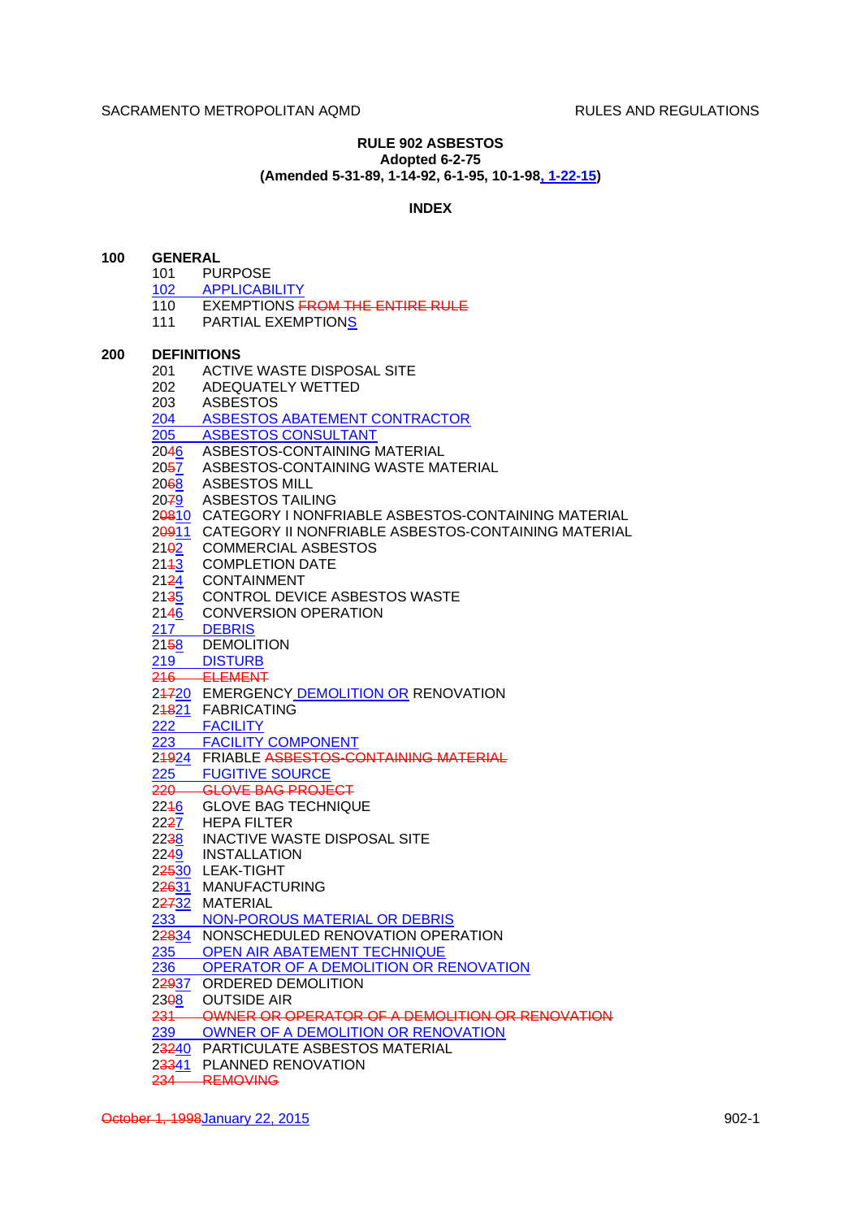**100 GENERAL**

# **RULE 902 ASBESTOS Adopted 6-2-75**

**(Amended 5-31-89, 1-14-92, 6-1-95, 10-1-98, 1-22-15)**

# **INDEX**

| 101               | <b>PURPOSE</b>                                                        |
|-------------------|-----------------------------------------------------------------------|
|                   | 102 APPLICABILITY                                                     |
|                   | 110 EXEMPTIONS FROM THE ENTIRE RULE                                   |
|                   | 111 PARTIAL EXEMPTIONS                                                |
|                   | <b>DEFINITIONS</b>                                                    |
|                   | 201 ACTIVE WASTE DISPOSAL SITE                                        |
|                   | 202 ADEQUATELY WETTED                                                 |
|                   | 203 ASBESTOS                                                          |
|                   | 204 ASBESTOS ABATEMENT CONTRACTOR                                     |
|                   | 205 ASBESTOS CONSULTANT                                               |
|                   | 2046 ASBESTOS-CONTAINING MATERIAL                                     |
|                   | 2057 ASBESTOS-CONTAINING WASTE MATERIAL                               |
|                   | 2068 ASBESTOS MILL                                                    |
|                   | 2079 ASBESTOS TAILING                                                 |
|                   | 20810 CATEGORY I NONFRIABLE ASBESTOS-CONTAINING MATERIAL              |
|                   | 20911 CATEGORY II NONFRIABLE ASBESTOS-CONTAINING MATERIAL             |
|                   | 2102 COMMERCIAL ASBESTOS                                              |
|                   | 2143 COMPLETION DATE                                                  |
|                   | 2124 CONTAINMENT                                                      |
|                   | 2135 CONTROL DEVICE ASBESTOS WASTE<br>2146 CONVERSION OPERATION       |
|                   |                                                                       |
|                   | 217 DEBRIS                                                            |
|                   | 2158 DEMOLITION                                                       |
|                   | 219 DISTURB                                                           |
|                   | 216 ELEMENT                                                           |
|                   | 24720 EMERGENCY DEMOLITION OR RENOVATION<br>248 <u>21</u> FABRICATING |
|                   |                                                                       |
|                   | 222 FACILITY                                                          |
|                   | 223 FACILITY COMPONENT                                                |
|                   | 24924 FRIABLE ASBESTOS-CONTAINING MATERIAL                            |
|                   | 225 FUGITIVE SOURCE                                                   |
|                   | 220 GLOVE BAG PROJECT                                                 |
|                   | 2246 GLOVE BAG TECHNIQUE                                              |
|                   | 2227 HEPA FILTER<br>2238 INACTIVE WASTE DISPOSAL SITE                 |
|                   |                                                                       |
|                   | 2249 INSTALLATION                                                     |
|                   | 22530 LEAK-TIGHT                                                      |
|                   | 22631 MANUFACTURING                                                   |
|                   | 22732 MATERIAL                                                        |
| 233               | NON-POROUS MATERIAL OR DEBRIS                                         |
|                   | 22834 NONSCHEDULED RENOVATION OPERATION                               |
| 235               | OPEN AIR ABATEMENT TECHNIQUE                                          |
| 236               | OPERATOR OF A DEMOLITION OR RENOVATION                                |
|                   | 22937 ORDERED DEMOLITION                                              |
| 23 <del>0</del> 8 | <b>OUTSIDE AIR</b>                                                    |
|                   | 231 OWNER OR OPERATOR OF A DEMOLITION OR RENOVATION                   |
|                   | 239 OWNER OF A DEMOLITION OR RENOVATION                               |
|                   | 23240 PARTICULATE ASBESTOS MATERIAL                                   |
|                   | 23341 PLANNED RENOVATION                                              |
|                   | 234 REMOVING                                                          |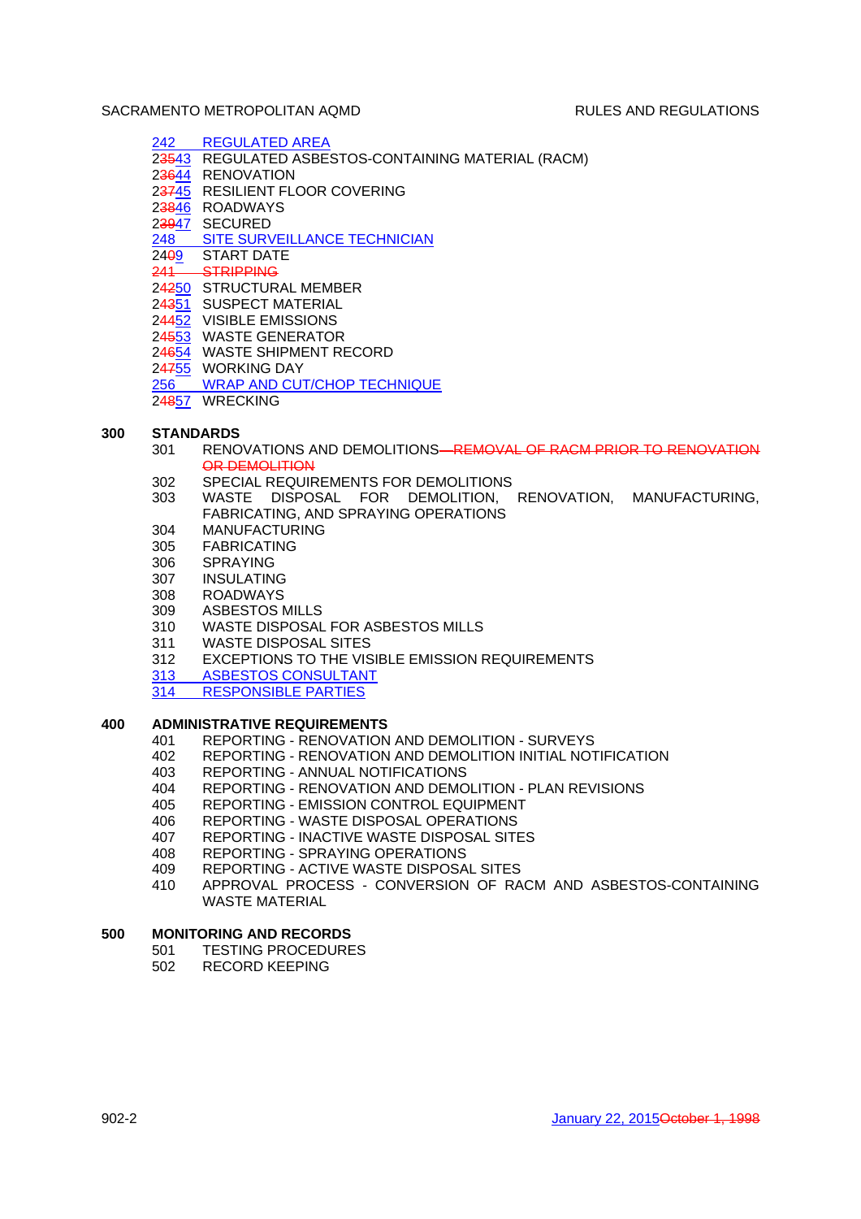# 242 REGULATED AREA

- 23543 REGULATED ASBESTOS-CONTAINING MATERIAL (RACM)
- 23644 RENOVATION
- 23745 RESILIENT FLOOR COVERING
- 23846 ROADWAYS
- 23947 SECURED
- 248 SITE SURVEILLANCE TECHNICIAN
- 2409 START DATE
- 241 STRIPPING
- 24250 STRUCTURAL MEMBER
- 24351 SUSPECT MATERIAL
- 24452 VISIBLE EMISSIONS
- 24553 WASTE GENERATOR
- 24654 WASTE SHIPMENT RECORD
- 24755 WORKING DAY
- 256 WRAP AND CUT/CHOP TECHNIQUE
- 24857 WRECKING

# **300 STANDARDS**

- 301 RENOVATIONS AND DEMOLITIONS—REMOVAL OF RACM PRIOR TO RENOVATION OR DEMOLITION
- 302 SPECIAL REQUIREMENTS FOR DEMOLITIONS
- 303 WASTE DISPOSAL FOR DEMOLITION, RENOVATION, MANUFACTURING, FABRICATING, AND SPRAYING OPERATIONS
- 304 MANUFACTURING
- 305 FABRICATING
- 306 SPRAYING
- 307 INSULATING
- 308 ROADWAYS<br>309 ASBESTOS N
- ASBESTOS MILLS
- 310 WASTE DISPOSAL FOR ASBESTOS MILLS
- 311 WASTE DISPOSAL SITES
- 312 EXCEPTIONS TO THE VISIBLE EMISSION REQUIREMENTS
- 313 ASBESTOS CONSULTANT<br>314 RESPONSIBLE PARTIES
- **RESPONSIBLE PARTIES**

## **400 ADMINISTRATIVE REQUIREMENTS**

- 401 REPORTING RENOVATION AND DEMOLITION SURVEYS<br>402 REPORTING RENOVATION AND DEMOLITION INITIAL NOT
- 402 REPORTING RENOVATION AND DEMOLITION INITIAL NOTIFICATION
- 403 REPORTING ANNUAL NOTIFICATIONS
- 404 REPORTING RENOVATION AND DEMOLITION PLAN REVISIONS
- 405 REPORTING EMISSION CONTROL EQUIPMENT
- 406 REPORTING WASTE DISPOSAL OPERATIONS
- 407 REPORTING INACTIVE WASTE DISPOSAL SITES
- 408 REPORTING SPRAYING OPERATIONS
- 409 REPORTING ACTIVE WASTE DISPOSAL SITES
- 410 APPROVAL PROCESS CONVERSION OF RACM AND ASBESTOS-CONTAINING WASTE MATERIAL

## **500 MONITORING AND RECORDS**

- 501 TESTING PROCEDURES
- 502 RECORD KEEPING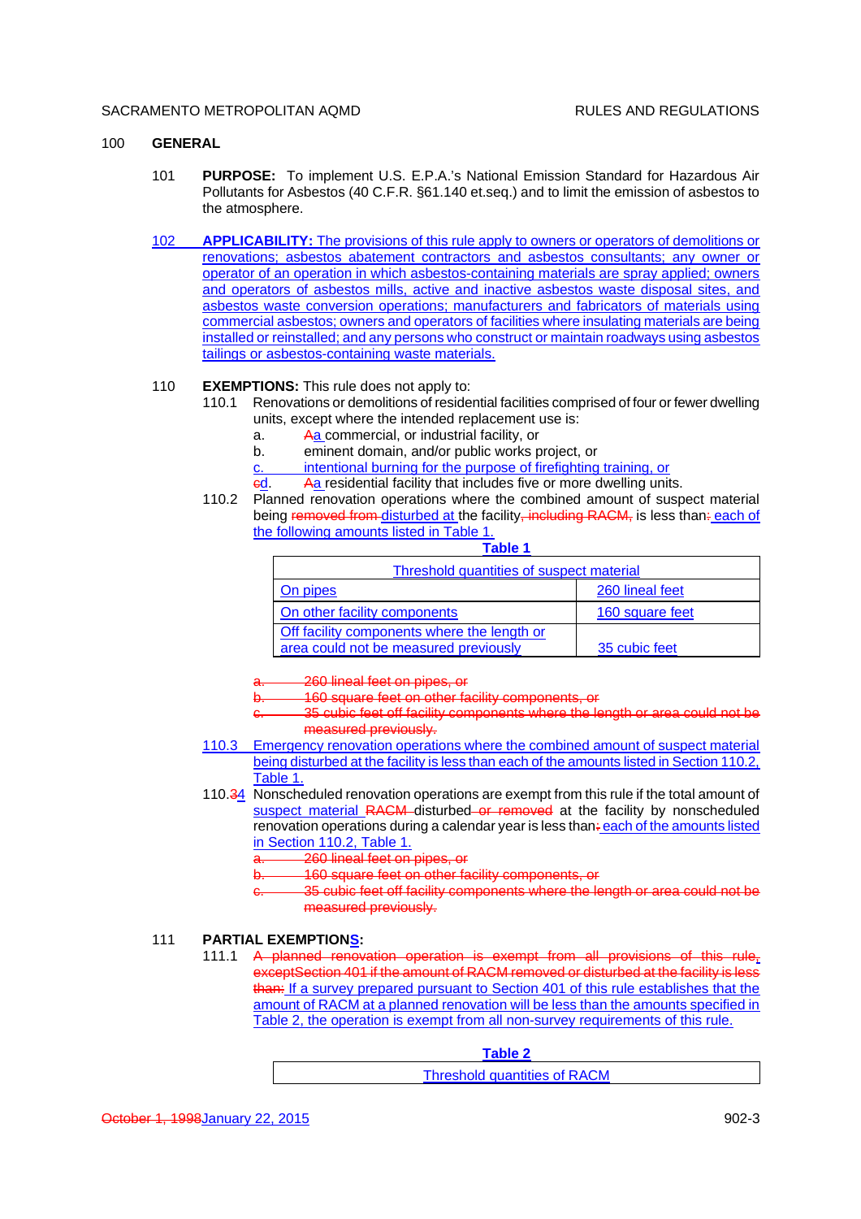### 100 **GENERAL**

- 101 **PURPOSE:** To implement U.S. E.P.A.'s National Emission Standard for Hazardous Air Pollutants for Asbestos (40 C.F.R. §61.140 et.seq.) and to limit the emission of asbestos to the atmosphere.
- 102 **APPLICABILITY:** The provisions of this rule apply to owners or operators of demolitions or renovations; asbestos abatement contractors and asbestos consultants; any owner or operator of an operation in which asbestos-containing materials are spray applied; owners and operators of asbestos mills, active and inactive asbestos waste disposal sites, and asbestos waste conversion operations; manufacturers and fabricators of materials using commercial asbestos; owners and operators of facilities where insulating materials are being installed or reinstalled; and any persons who construct or maintain roadways using asbestos tailings or asbestos-containing waste materials.

#### 110 **EXEMPTIONS:** This rule does not apply to:

- 110.1 Renovations or demolitions of residential facilities comprised of four or fewer dwelling units, except where the intended replacement use is:
	- a. Aa commercial, or industrial facility, or
	- b. eminent domain, and/or public works project, or
	- c. intentional burning for the purpose of firefighting training, or
	- ed. Aa residential facility that includes five or more dwelling units.
- 110.2 Planned renovation operations where the combined amount of suspect material being removed from disturbed at the facility, including RACM, is less than: each of the following amounts listed in Table 1.

|  | ш<br>-<br>∽ | аол |  |
|--|-------------|-----|--|
|--|-------------|-----|--|

| Threshold quantities of suspect material                                             |                 |  |
|--------------------------------------------------------------------------------------|-----------------|--|
| On pipes                                                                             | 260 lineal feet |  |
| On other facility components                                                         | 160 square feet |  |
| Off facility components where the length or<br>area could not be measured previously | 35 cubic feet   |  |

260 lineal feet on pipes, or

- 160 square feet on other facility components, or
- 35 cubic feet off facility components where the length or area could not be measured previously.
- 110.3 Emergency renovation operations where the combined amount of suspect material being disturbed at the facility is less than each of the amounts listed in Section 110.2, Table 1.
- 110.34 Nonscheduled renovation operations are exempt from this rule if the total amount of suspect material RACM disturbed or removed at the facility by nonscheduled renovation operations during a calendar year is less than: each of the amounts listed in Section 110.2, Table 1.
	- 260 lineal feet on pipes, or
	- 160 square feet on other facility components, or
	- 35 cubic feet off facility components where the length or area could not be measured previously.

#### 111 **PARTIAL EXEMPTIONS:**

111.1 A planned renovation operation is exempt from all provisions of this rule, exceptSection 401 if the amount of RACM removed or disturbed at the facility is less than: If a survey prepared pursuant to Section 401 of this rule establishes that the amount of RACM at a planned renovation will be less than the amounts specified in Table 2, the operation is exempt from all non-survey requirements of this rule.

**Table 2**

|  |  | Threshold quantities of RACM |  |
|--|--|------------------------------|--|
|--|--|------------------------------|--|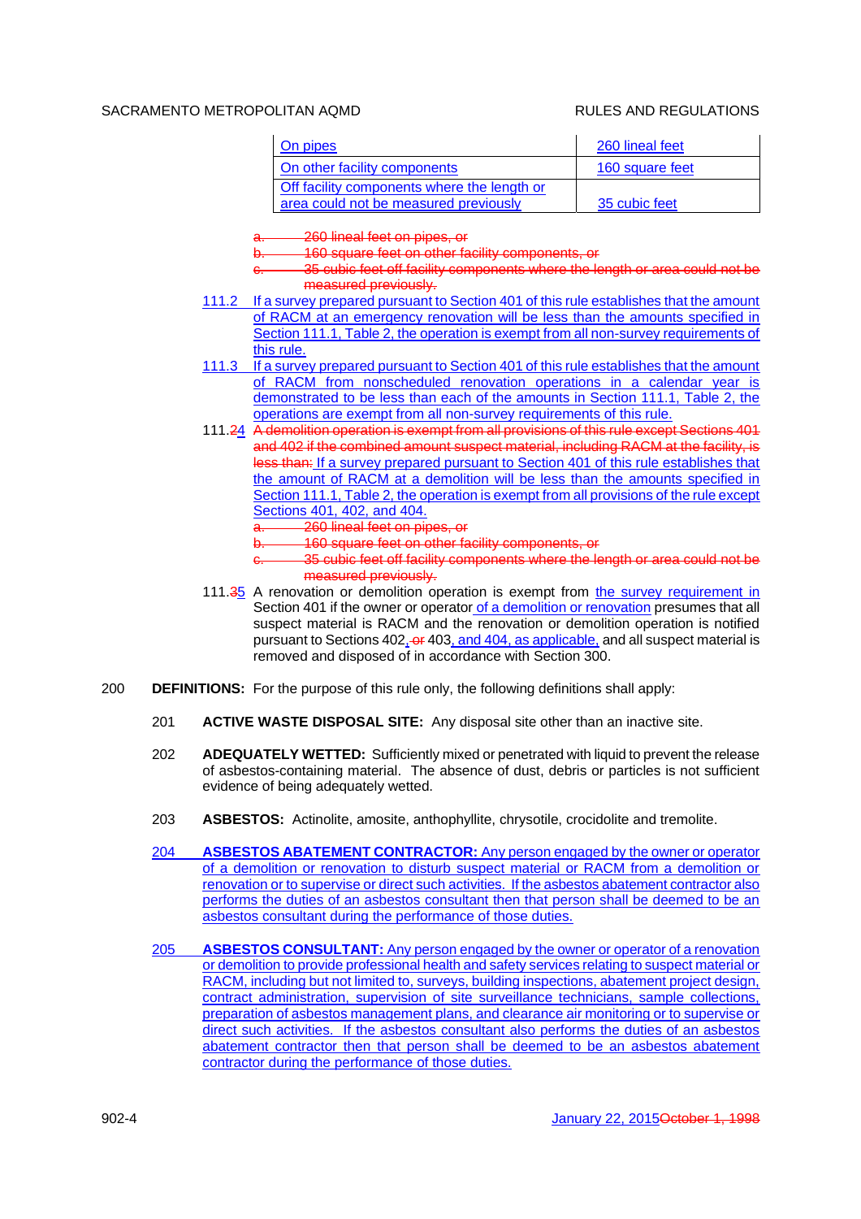| On pipes                                    | 260 lineal feet |
|---------------------------------------------|-----------------|
| On other facility components                | 160 square feet |
| Off facility components where the length or |                 |
| area could not be measured previously       | 35 cubic feet   |

260 lineal feet on pipes, or

160 square feet on other facility components, or

- 35 cubic feet off facility components where the length or area could not be measured previously.
- 111.2 If a survey prepared pursuant to Section 401 of this rule establishes that the amount of RACM at an emergency renovation will be less than the amounts specified in Section 111.1, Table 2, the operation is exempt from all non-survey requirements of this rule.
- 111.3 If a survey prepared pursuant to Section 401 of this rule establishes that the amount of RACM from nonscheduled renovation operations in a calendar year is demonstrated to be less than each of the amounts in Section 111.1, Table 2, the operations are exempt from all non-survey requirements of this rule.
- 111.24 A demolition operation is exempt from all provisions of this rule except Sections 401 and 402 if the combined amount suspect material, including RACM at the facility, is less than: If a survey prepared pursuant to Section 401 of this rule establishes that the amount of RACM at a demolition will be less than the amounts specified in Section 111.1, Table 2, the operation is exempt from all provisions of the rule except Sections 401, 402, and 404.
	- 260 lineal feet on pipes, or
	- 160 square feet on other facility components, or
	- c. 35 cubic feet off facility components where the length or area could not be measured previously.
- 111.35 A renovation or demolition operation is exempt from the survey requirement in Section 401 if the owner or operator of a demolition or renovation presumes that all suspect material is RACM and the renovation or demolition operation is notified pursuant to Sections 402, or 403, and 404, as applicable, and all suspect material is removed and disposed of in accordance with Section 300.
- 200 **DEFINITIONS:** For the purpose of this rule only, the following definitions shall apply:
	- 201 **ACTIVE WASTE DISPOSAL SITE:** Any disposal site other than an inactive site.
	- 202 **ADEQUATELY WETTED:** Sufficiently mixed or penetrated with liquid to prevent the release of asbestos-containing material. The absence of dust, debris or particles is not sufficient evidence of being adequately wetted.
	- 203 **ASBESTOS:** Actinolite, amosite, anthophyllite, chrysotile, crocidolite and tremolite.
	- 204 **ASBESTOS ABATEMENT CONTRACTOR:** Any person engaged by the owner or operator of a demolition or renovation to disturb suspect material or RACM from a demolition or renovation or to supervise or direct such activities. If the asbestos abatement contractor also performs the duties of an asbestos consultant then that person shall be deemed to be an asbestos consultant during the performance of those duties.
	- 205 **ASBESTOS CONSULTANT:** Any person engaged by the owner or operator of a renovation or demolition to provide professional health and safety services relating to suspect material or RACM, including but not limited to, surveys, building inspections, abatement project design, contract administration, supervision of site surveillance technicians, sample collections, preparation of asbestos management plans, and clearance air monitoring or to supervise or direct such activities. If the asbestos consultant also performs the duties of an asbestos abatement contractor then that person shall be deemed to be an asbestos abatement contractor during the performance of those duties.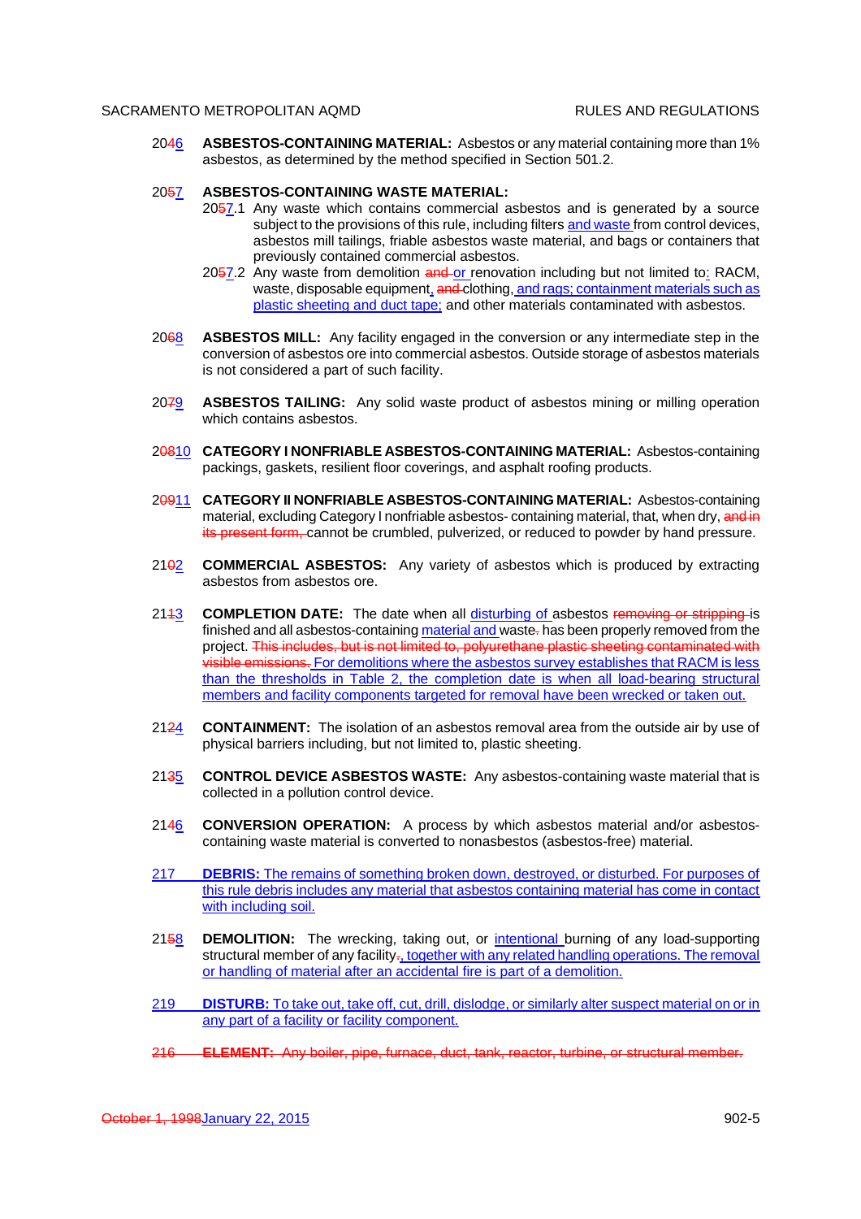2046 **ASBESTOS-CONTAINING MATERIAL:** Asbestos or any material containing more than 1% asbestos, as determined by the method specified in Section 501.2.

#### 2057 **ASBESTOS-CONTAINING WASTE MATERIAL:**

- 2057.1 Any waste which contains commercial asbestos and is generated by a source subject to the provisions of this rule, including filters and waste from control devices, asbestos mill tailings, friable asbestos waste material, and bags or containers that previously contained commercial asbestos.
- 2057.2 Any waste from demolition and or renovation including but not limited to: RACM, waste, disposable equipment, and clothing, and rags; containment materials such as plastic sheeting and duct tape; and other materials contaminated with asbestos.
- 2068 **ASBESTOS MILL:** Any facility engaged in the conversion or any intermediate step in the conversion of asbestos ore into commercial asbestos. Outside storage of asbestos materials is not considered a part of such facility.
- 2079 **ASBESTOS TAILING:** Any solid waste product of asbestos mining or milling operation which contains asbestos.
- 20810 **CATEGORY I NONFRIABLE ASBESTOS-CONTAINING MATERIAL:** Asbestos-containing packings, gaskets, resilient floor coverings, and asphalt roofing products.
- 20911 **CATEGORY II NONFRIABLE ASBESTOS-CONTAINING MATERIAL:** Asbestos-containing material, excluding Category I nonfriable asbestos- containing material, that, when dry, and in its present form, cannot be crumbled, pulverized, or reduced to powder by hand pressure.
- 2102 **COMMERCIAL ASBESTOS:** Any variety of asbestos which is produced by extracting asbestos from asbestos ore.
- 2113 **COMPLETION DATE:** The date when all disturbing of asbestos removing or stripping is finished and all asbestos-containing material and waste-has been properly removed from the project. This includes, but is not limited to, polyurethane plastic sheeting contaminated with visible emissions. For demolitions where the asbestos survey establishes that RACM is less than the thresholds in Table 2, the completion date is when all load-bearing structural members and facility components targeted for removal have been wrecked or taken out.
- 2124 **CONTAINMENT:** The isolation of an asbestos removal area from the outside air by use of physical barriers including, but not limited to, plastic sheeting.
- 2135 **CONTROL DEVICE ASBESTOS WASTE:** Any asbestos-containing waste material that is collected in a pollution control device.
- 2146 **CONVERSION OPERATION:** A process by which asbestos material and/or asbestoscontaining waste material is converted to nonasbestos (asbestos-free) material.
- 217 **DEBRIS:** The remains of something broken down, destroyed, or disturbed. For purposes of this rule debris includes any material that asbestos containing material has come in contact with including soil.
- 2158 **DEMOLITION:** The wrecking, taking out, or *intentional* burning of any load-supporting structural member of any facility-, together with any related handling operations. The removal or handling of material after an accidental fire is part of a demolition.
- 219 **DISTURB:** To take out, take off, cut, drill, dislodge, or similarly alter suspect material on or in any part of a facility or facility component.
- 216 **ELEMENT:** Any boiler, pipe, furnace, duct, tank, reactor, turbine, or structural member.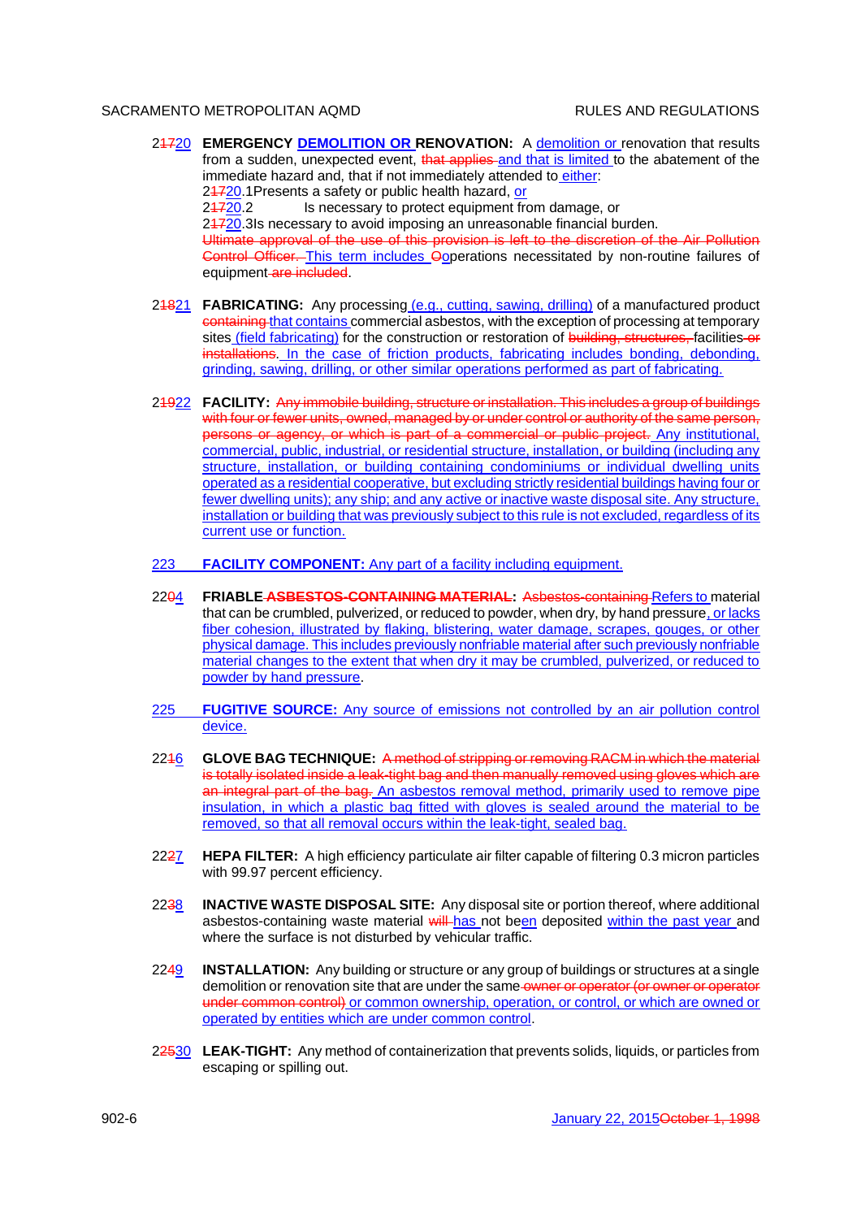- 21720 **EMERGENCY DEMOLITION OR RENOVATION:** A demolition or renovation that results from a sudden, unexpected event, that applies and that is limited to the abatement of the immediate hazard and, that if not immediately attended to either: 24720.1 Presents a safety or public health hazard, or 24720.2 Is necessary to protect equipment from damage, or 24720.3Is necessary to avoid imposing an unreasonable financial burden. Ultimate approval of the use of this provision is left to the discretion of the Air Pollution Control Officer. This term includes Ooperations necessitated by non-routine failures of equipment are included.
- 21821 **FABRICATING:** Any processing (e.g., cutting, sawing, drilling) of a manufactured product containing that contains commercial asbestos, with the exception of processing at temporary sites (field fabricating) for the construction or restoration of building, structures, facilities or installations. In the case of friction products, fabricating includes bonding, debonding, grinding, sawing, drilling, or other similar operations performed as part of fabricating.
- 21922 **FACILITY:** Any immobile building, structure or installation. This includes a group of buildings with four or fewer units, owned, managed by or under control or authority of the same person, persons or agency, or which is part of a commercial or public project. Any institutional, commercial, public, industrial, or residential structure, installation, or building (including any structure, installation, or building containing condominiums or individual dwelling units operated as a residential cooperative, but excluding strictly residential buildings having four or fewer dwelling units); any ship; and any active or inactive waste disposal site. Any structure, installation or building that was previously subject to this rule is not excluded, regardless of its current use or function.
- 223 **FACILITY COMPONENT:** Any part of a facility including equipment.
- 2204 **FRIABLE ASBESTOS-CONTAINING MATERIAL:** Asbestos-containing Refers to material that can be crumbled, pulverized, or reduced to powder, when dry, by hand pressure, or lacks fiber cohesion, illustrated by flaking, blistering, water damage, scrapes, gouges, or other physical damage. This includes previously nonfriable material after such previously nonfriable material changes to the extent that when dry it may be crumbled, pulverized, or reduced to powder by hand pressure.
- 225 **FUGITIVE SOURCE:** Any source of emissions not controlled by an air pollution control device.
- 2216 **GLOVE BAG TECHNIQUE:** A method of stripping or removing RACM in which the material is totally isolated inside a leak-tight bag and then manually removed using gloves which are an integral part of the bag. An asbestos removal method, primarily used to remove pipe insulation, in which a plastic bag fitted with gloves is sealed around the material to be removed, so that all removal occurs within the leak-tight, sealed bag.
- 2227 **HEPA FILTER:** A high efficiency particulate air filter capable of filtering 0.3 micron particles with 99.97 percent efficiency.
- 2238 **INACTIVE WASTE DISPOSAL SITE:** Any disposal site or portion thereof, where additional asbestos-containing waste material will has not been deposited within the past year and where the surface is not disturbed by vehicular traffic.
- 2249 **INSTALLATION:** Any building or structure or any group of buildings or structures at a single demolition or renovation site that are under the same-owner or operator (or owner or operator under common control) or common ownership, operation, or control, or which are owned or operated by entities which are under common control.
- 22530 **LEAK-TIGHT:** Any method of containerization that prevents solids, liquids, or particles from escaping or spilling out.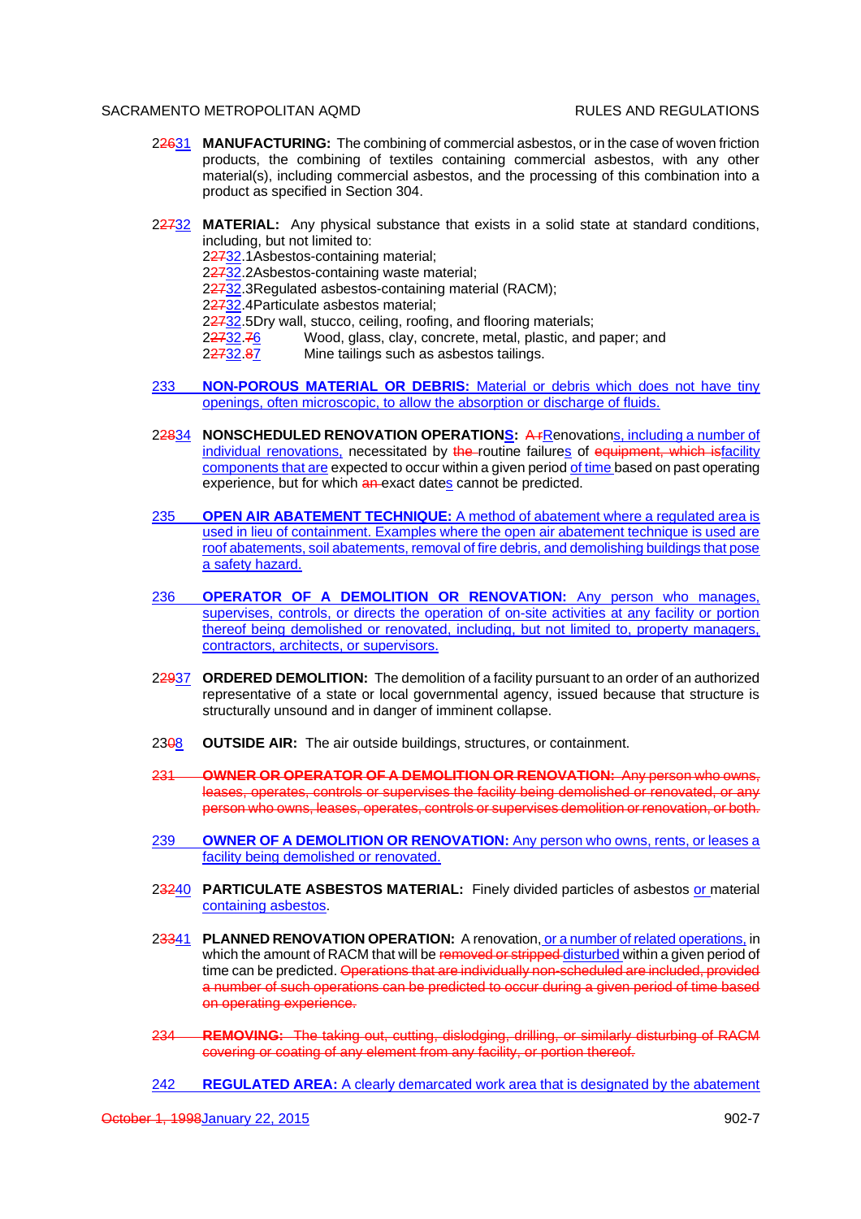- 22631 **MANUFACTURING:** The combining of commercial asbestos, or in the case of woven friction products, the combining of textiles containing commercial asbestos, with any other material(s), including commercial asbestos, and the processing of this combination into a product as specified in Section 304.
- 22732 **MATERIAL:** Any physical substance that exists in a solid state at standard conditions, including, but not limited to:

22732.1Asbestos-containing material;

22732.2Asbestos-containing waste material;

22732.3Regulated asbestos-containing material (RACM);

22732.4Particulate asbestos material;

22732.5Dry wall, stucco, ceiling, roofing, and flooring materials;

22732.76 Wood, glass, clay, concrete, metal, plastic, and paper; and

22732.87 Mine tailings such as asbestos tailings.

- 233 **NON-POROUS MATERIAL OR DEBRIS:** Material or debris which does not have tiny openings, often microscopic, to allow the absorption or discharge of fluids.
- 22834 **NONSCHEDULED RENOVATION OPERATIONS:** A<sub>FRenovations, including a number of</sub> individual renovations, necessitated by the routine failures of equipment, which isfacility components that are expected to occur within a given period of time based on past operating experience, but for which an exact dates cannot be predicted.
- 235 **OPEN AIR ABATEMENT TECHNIQUE:** A method of abatement where a regulated area is used in lieu of containment. Examples where the open air abatement technique is used are roof abatements, soil abatements, removal of fire debris, and demolishing buildings that pose a safety hazard.
- 236 **OPERATOR OF A DEMOLITION OR RENOVATION:** Any person who manages, supervises, controls, or directs the operation of on-site activities at any facility or portion thereof being demolished or renovated, including, but not limited to, property managers, contractors, architects, or supervisors.
- 22937 **ORDERED DEMOLITION:** The demolition of a facility pursuant to an order of an authorized representative of a state or local governmental agency, issued because that structure is structurally unsound and in danger of imminent collapse.
- 2308 **OUTSIDE AIR:** The air outside buildings, structures, or containment.
- 231 **OWNER OR OPERATOR OF A DEMOLITION OR RENOVATION:** Any person who owns, leases, operates, controls or supervises the facility being demolished or renovated, or any person who owns, leases, operates, controls or supervises demolition or renovation, or both.
- 239 **OWNER OF A DEMOLITION OR RENOVATION:** Any person who owns, rents, or leases a facility being demolished or renovated.
- 23240 **PARTICULATE ASBESTOS MATERIAL:** Finely divided particles of asbestos or material containing asbestos.
- 23341 **PLANNED RENOVATION OPERATION:** A renovation, or a number of related operations, in which the amount of RACM that will be removed or stripped disturbed within a given period of time can be predicted. Operations that are individually non-scheduled are included, provided a number of such operations can be predicted to occur during a given period of time based on operating experience.
- **REMOVING:** The taking out, cutting, dislodging, drilling, or similarly disturbing of RACM covering or coating of any element from any facility, or portion thereof.
- 242 **REGULATED AREA:** A clearly demarcated work area that is designated by the abatement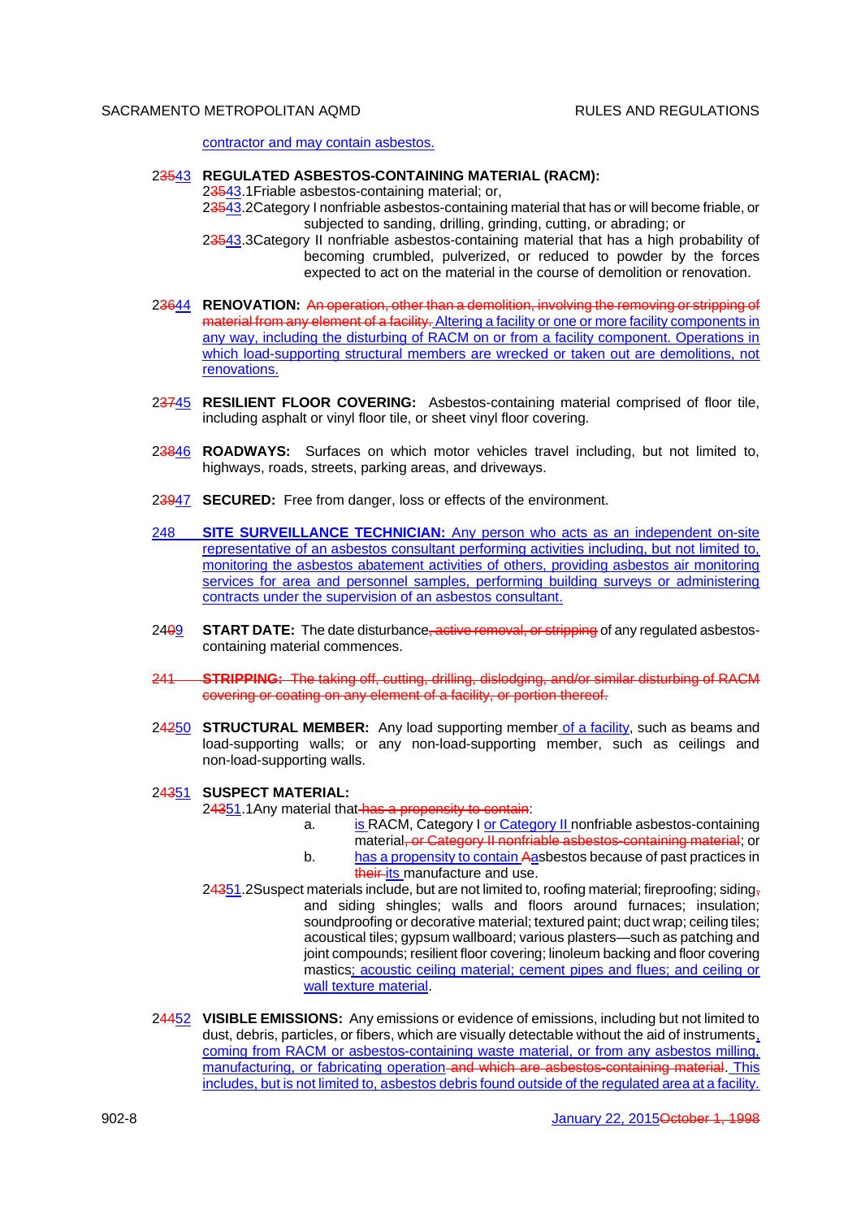contractor and may contain asbestos.

## 23543 **REGULATED ASBESTOS-CONTAINING MATERIAL (RACM):**

23543.1 Friable asbestos-containing material; or,

23543.2Category I nonfriable asbestos-containing material that has or will become friable, or subjected to sanding, drilling, grinding, cutting, or abrading; or

23543.3Category II nonfriable asbestos-containing material that has a high probability of becoming crumbled, pulverized, or reduced to powder by the forces expected to act on the material in the course of demolition or renovation.

- 23644 **RENOVATION:** An operation, other than a demolition, involving the removing or stripping of material from any element of a facility. Altering a facility or one or more facility components in any way, including the disturbing of RACM on or from a facility component. Operations in which load-supporting structural members are wrecked or taken out are demolitions, not renovations.
- 23745 **RESILIENT FLOOR COVERING:** Asbestos-containing material comprised of floor tile, including asphalt or vinyl floor tile, or sheet vinyl floor covering.
- 23846 **ROADWAYS:** Surfaces on which motor vehicles travel including, but not limited to, highways, roads, streets, parking areas, and driveways.
- 23947 **SECURED:** Free from danger, loss or effects of the environment.
- 248 **SITE SURVEILLANCE TECHNICIAN:** Any person who acts as an independent on-site representative of an asbestos consultant performing activities including, but not limited to, monitoring the asbestos abatement activities of others, providing asbestos air monitoring services for area and personnel samples, performing building surveys or administering contracts under the supervision of an asbestos consultant.
- 2409 **START DATE:** The date disturbance, active removal, or stripping of any regulated asbestoscontaining material commences.
- 241 **STRIPPING:** The taking off, cutting, drilling, dislodging, and/or similar disturbing of RACM covering or coating on any element of a facility, or portion thereof.
- 24250 **STRUCTURAL MEMBER:** Any load supporting member of a facility, such as beams and load-supporting walls; or any non-load-supporting member, such as ceilings and non-load-supporting walls.

# 24351 **SUSPECT MATERIAL:**

24351.1 Any material that has a propensity to contain:

- a. is RACM, Category I or Category II nonfriable asbestos-containing
	- material, or Category II nonfriable asbestos-containing material; or
- b. has a propensity to contain Aasbestos because of past practices in their its manufacture and use.
- $24351.2$ Suspect materials include, but are not limited to, roofing material; fireproofing; sidingand siding shingles; walls and floors around furnaces; insulation; soundproofing or decorative material; textured paint; duct wrap; ceiling tiles; acoustical tiles; gypsum wallboard; various plasters—such as patching and joint compounds; resilient floor covering; linoleum backing and floor covering mastics; acoustic ceiling material; cement pipes and flues; and ceiling or wall texture material.
- 24452 **VISIBLE EMISSIONS:** Any emissions or evidence of emissions, including but not limited to dust, debris, particles, or fibers, which are visually detectable without the aid of instruments, coming from RACM or asbestos-containing waste material, or from any asbestos milling, manufacturing, or fabricating operation and which are asbestos-containing material. This includes, but is not limited to, asbestos debris found outside of the regulated area at a facility.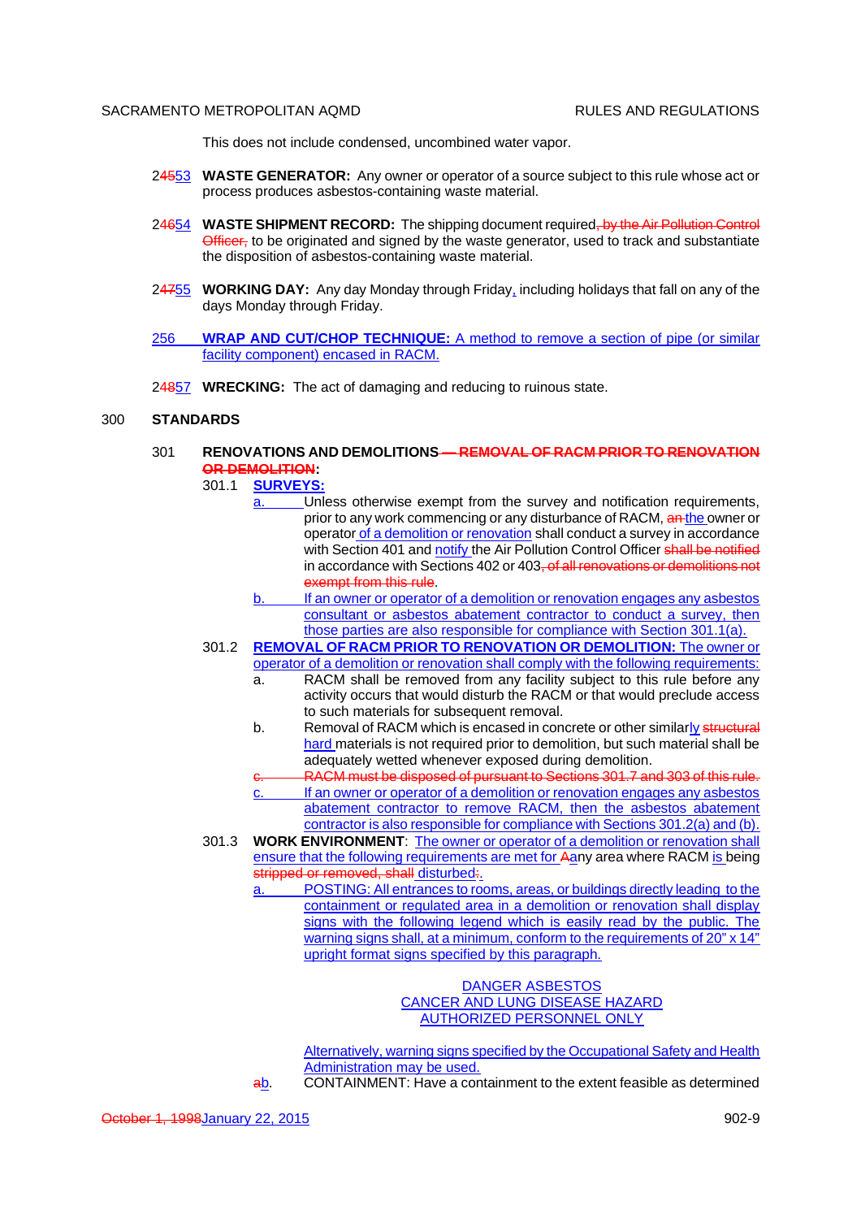This does not include condensed, uncombined water vapor.

- 24553 **WASTE GENERATOR:** Any owner or operator of a source subject to this rule whose act or process produces asbestos-containing waste material.
- 24654 **WASTE SHIPMENT RECORD:** The shipping document required, by the Air Pollution Control Officer, to be originated and signed by the waste generator, used to track and substantiate the disposition of asbestos-containing waste material.
- 24755 **WORKING DAY:** Any day Monday through Friday, including holidays that fall on any of the days Monday through Friday.
- 256 **WRAP AND CUT/CHOP TECHNIQUE:** A method to remove a section of pipe (or similar facility component) encased in RACM.
- 24857 **WRECKING:** The act of damaging and reducing to ruinous state.

### 300 **STANDARDS**

- 301 **RENOVATIONS AND DEMOLITIONS REMOVAL OF RACM PRIOR TO RENOVATION OR DEMOLITION:**
	- 301.1 **SURVEYS:**
		- Unless otherwise exempt from the survey and notification requirements, prior to any work commencing or any disturbance of RACM, an the owner or operator of a demolition or renovation shall conduct a survey in accordance with Section 401 and notify the Air Pollution Control Officer shall be notified in accordance with Sections 402 or 403, of all renovations or demolitions not exempt from this rule.
		- b. If an owner or operator of a demolition or renovation engages any asbestos consultant or asbestos abatement contractor to conduct a survey, then those parties are also responsible for compliance with Section 301.1(a).
	- 301.2 **REMOVAL OF RACM PRIOR TO RENOVATION OR DEMOLITION:** The owner or operator of a demolition or renovation shall comply with the following requirements:
		- a. RACM shall be removed from any facility subject to this rule before any activity occurs that would disturb the RACM or that would preclude access to such materials for subsequent removal.
		- b. Removal of RACM which is encased in concrete or other similarly structural hard materials is not required prior to demolition, but such material shall be adequately wetted whenever exposed during demolition.
		- RACM must be disposed of pursuant to Sections 301.7 and 303 of this rule. c. If an owner or operator of a demolition or renovation engages any asbestos abatement contractor to remove RACM, then the asbestos abatement contractor is also responsible for compliance with Sections 301.2(a) and (b).
	- 301.3 **WORK ENVIRONMENT**: The owner or operator of a demolition or renovation shall ensure that the following requirements are met for Aany area where RACM is being stripped or removed, shall disturbed.
		- a. POSTING: All entrances to rooms, areas, or buildings directly leading to the containment or regulated area in a demolition or renovation shall display signs with the following legend which is easily read by the public. The warning signs shall, at a minimum, conform to the requirements of 20" x 14" upright format signs specified by this paragraph.

DANGER ASBESTOS CANCER AND LUNG DISEASE HAZARD AUTHORIZED PERSONNEL ONLY

Alternatively, warning signs specified by the Occupational Safety and Health Administration may be used.

ab. CONTAINMENT: Have a containment to the extent feasible as determined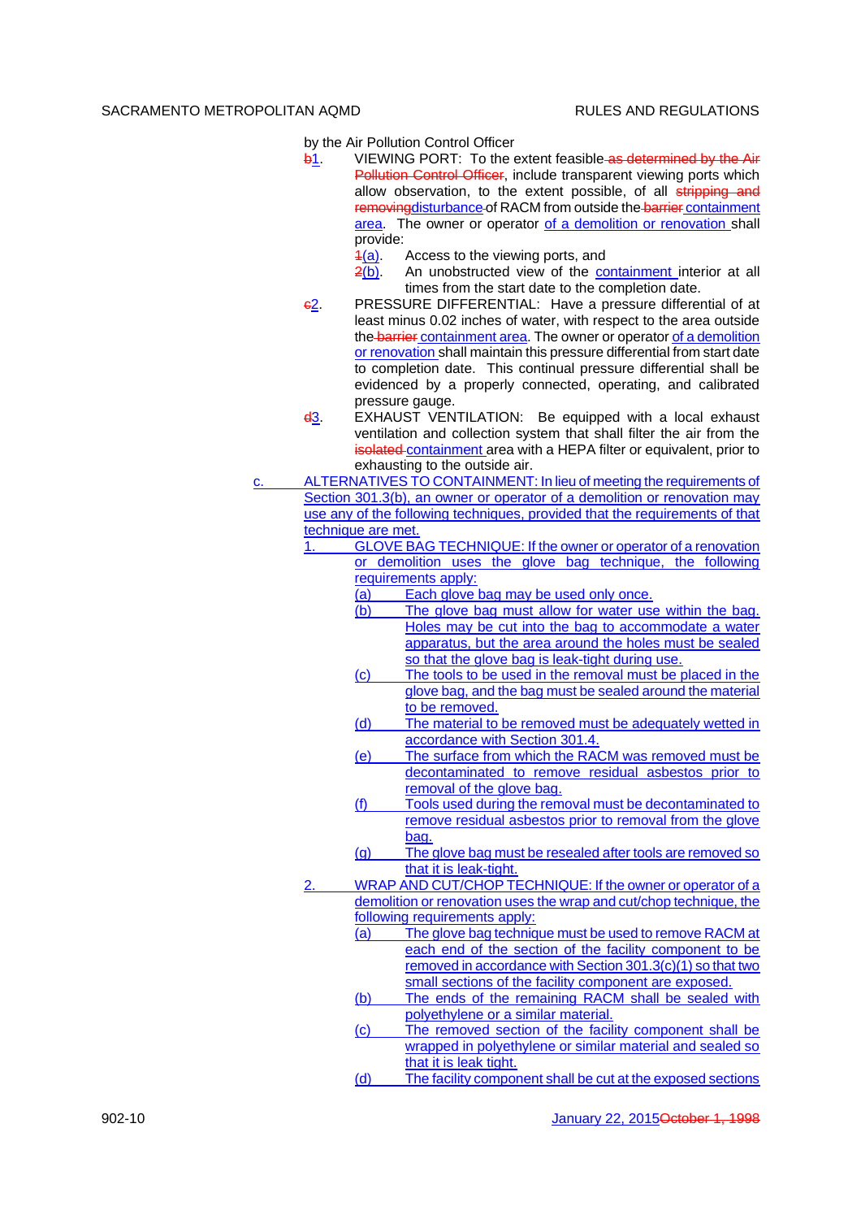by the Air Pollution Control Officer

- b1. VIEWING PORT: To the extent feasible as determined by the Air Pollution Control Officer, include transparent viewing ports which allow observation, to the extent possible, of all stripping and removingdisturbance of RACM from outside the barrier containment area. The owner or operator of a demolition or renovation shall provide:
	- $4(a)$ . Access to the viewing ports, and
	- 2(b). An unobstructed view of the containment interior at all times from the start date to the completion date.
- c2. PRESSURE DIFFERENTIAL: Have a pressure differential of at least minus 0.02 inches of water, with respect to the area outside the barrier containment area. The owner or operator of a demolition or renovation shall maintain this pressure differential from start date to completion date. This continual pressure differential shall be evidenced by a properly connected, operating, and calibrated pressure gauge.
- d3. EXHAUST VENTILATION: Be equipped with a local exhaust ventilation and collection system that shall filter the air from the isolated containment area with a HEPA filter or equivalent, prior to exhausting to the outside air.
- ALTERNATIVES TO CONTAINMENT: In lieu of meeting the requirements of Section 301.3(b), an owner or operator of a demolition or renovation may use any of the following techniques, provided that the requirements of that technique are met.
	- GLOVE BAG TECHNIQUE: If the owner or operator of a renovation or demolition uses the glove bag technique, the following requirements apply:
		- $\overline{a}$  Each glove bag may be used only once.<br>(b) The glove bag must allow for water use
		- The glove bag must allow for water use within the bag. Holes may be cut into the bag to accommodate a water apparatus, but the area around the holes must be sealed so that the glove bag is leak-tight during use.
		- (c) The tools to be used in the removal must be placed in the glove bag, and the bag must be sealed around the material to be removed.
		- (d) The material to be removed must be adequately wetted in accordance with Section 301.4.
		- (e) The surface from which the RACM was removed must be decontaminated to remove residual asbestos prior to removal of the glove bag.
		- (f) Tools used during the removal must be decontaminated to remove residual asbestos prior to removal from the glove bag.
		- (g) The glove bag must be resealed after tools are removed so that it is leak-tight.
	- WRAP AND CUT/CHOP TECHNIQUE: If the owner or operator of a demolition or renovation uses the wrap and cut/chop technique, the following requirements apply:
		- (a) The glove bag technique must be used to remove RACM at each end of the section of the facility component to be removed in accordance with Section 301.3(c)(1) so that two small sections of the facility component are exposed.
		- (b) The ends of the remaining RACM shall be sealed with polyethylene or a similar material.
		- (c) The removed section of the facility component shall be wrapped in polyethylene or similar material and sealed so that it is leak tight.
		- (d) The facility component shall be cut at the exposed sections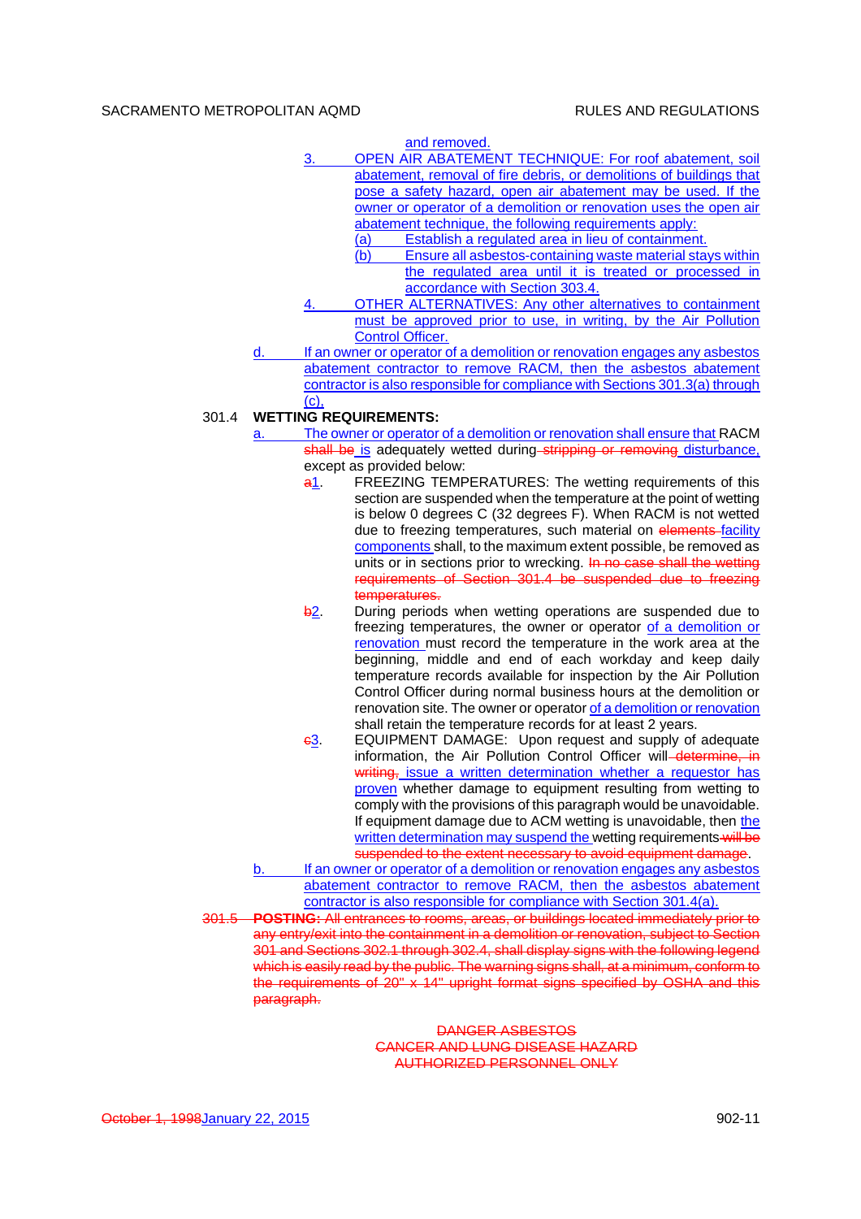and removed.

- 3. OPEN AIR ABATEMENT TECHNIQUE: For roof abatement, soil abatement, removal of fire debris, or demolitions of buildings that pose a safety hazard, open air abatement may be used. If the owner or operator of a demolition or renovation uses the open air abatement technique, the following requirements apply:
	- (a) Establish a regulated area in lieu of containment.
	- (b) Ensure all asbestos-containing waste material stays within the regulated area until it is treated or processed in accordance with Section 303.4.
- 4. OTHER ALTERNATIVES: Any other alternatives to containment must be approved prior to use, in writing, by the Air Pollution Control Officer.
- d. If an owner or operator of a demolition or renovation engages any asbestos abatement contractor to remove RACM, then the asbestos abatement contractor is also responsible for compliance with Sections 301.3(a) through (c),

## 301.4 **WETTING REQUIREMENTS:**

- The owner or operator of a demolition or renovation shall ensure that RACM shall be is adequately wetted during stripping or removing disturbance. except as provided below:
	- a1. FREEZING TEMPERATURES: The wetting requirements of this section are suspended when the temperature at the point of wetting is below 0 degrees C (32 degrees F). When RACM is not wetted due to freezing temperatures, such material on elements-facility components shall, to the maximum extent possible, be removed as units or in sections prior to wrecking. In no case shall the wetting requirements of Section 301.4 be suspended due to freezing temperatures.
	- b<sub>2</sub>. During periods when wetting operations are suspended due to freezing temperatures, the owner or operator of a demolition or renovation must record the temperature in the work area at the beginning, middle and end of each workday and keep daily temperature records available for inspection by the Air Pollution Control Officer during normal business hours at the demolition or renovation site. The owner or operator of a demolition or renovation shall retain the temperature records for at least 2 years.
	- c3. EQUIPMENT DAMAGE: Upon request and supply of adequate information, the Air Pollution Control Officer will determine, in writing, issue a written determination whether a requestor has proven whether damage to equipment resulting from wetting to comply with the provisions of this paragraph would be unavoidable. If equipment damage due to ACM wetting is unavoidable, then the written determination may suspend the wetting requirements will be suspended to the extent necessary to avoid equipment damage.
- If an owner or operator of a demolition or renovation engages any asbestos abatement contractor to remove RACM, then the asbestos abatement contractor is also responsible for compliance with Section 301.4(a).
- 301.5 **POSTING:** All entrances to rooms, areas, or buildings located immediately prior to any entry/exit into the containment in a demolition or renovation, subject to Section 301 and Sections 302.1 through 302.4, shall display signs with the following legend which is easily read by the public. The warning signs shall, at a minimum, conform to the requirements of 20" x 14" upright format signs specified by OSHA and this paragraph.

DANGER ASBESTOS CANCER AND LUNG DISEASE HAZARD AUTHORIZED PERSONNEL ONLY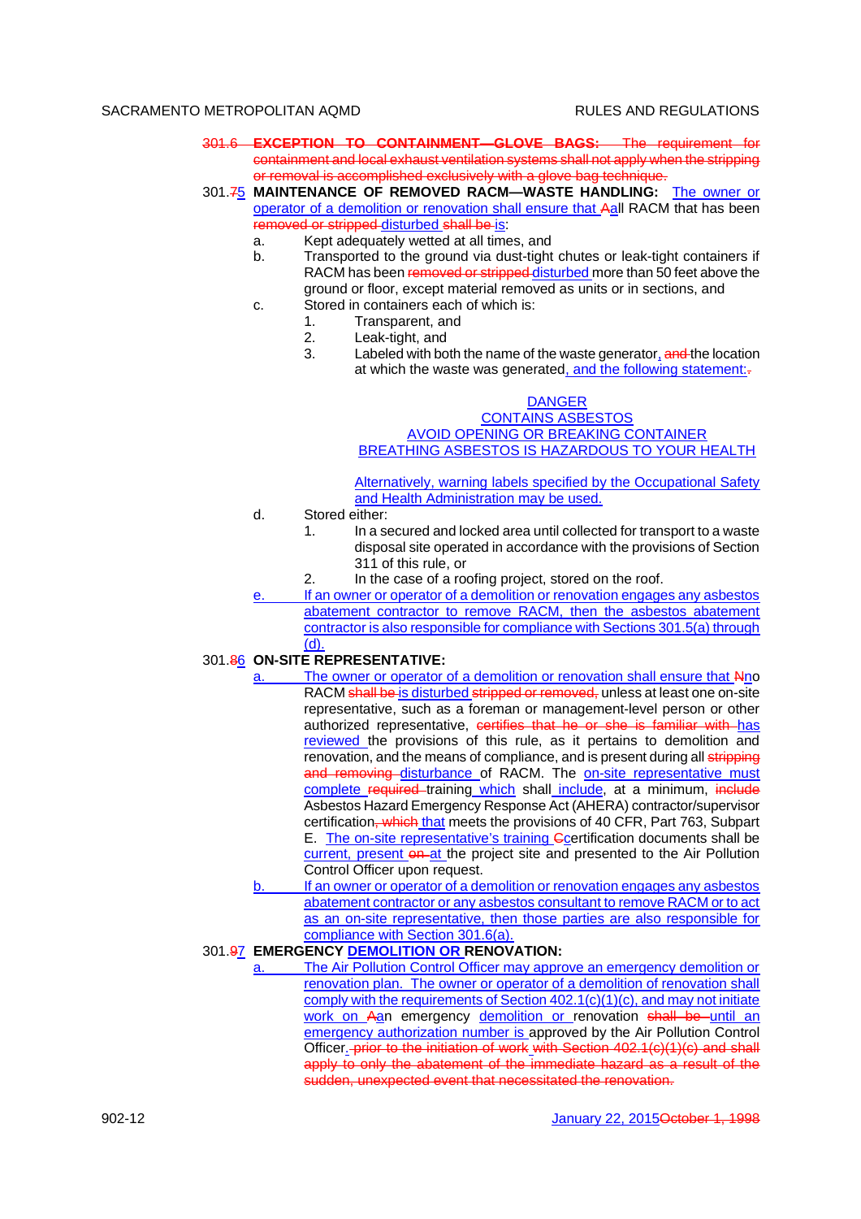- 301.6 **EXCEPTION TO CONTAINMENT—GLOVE BAGS:** The requirement for containment and local exhaust ventilation systems shall not apply when the stripping or removal is accomplished exclusively with a glove bag technique.
- 301.75 **MAINTENANCE OF REMOVED RACM—WASTE HANDLING:** The owner or operator of a demolition or renovation shall ensure that Aall RACM that has been removed or stripped disturbed shall be is:
	- a. Kept adequately wetted at all times, and
	- b. Transported to the ground via dust-tight chutes or leak-tight containers if RACM has been removed or stripped disturbed more than 50 feet above the ground or floor, except material removed as units or in sections, and
	- c. Stored in containers each of which is:
		- 1. Transparent, and
		- 2. Leak-tight, and
		- 3. Labeled with both the name of the waste generator, and the location at which the waste was generated, and the following statement:-

### DANGER

CONTAINS ASBESTOS AVOID OPENING OR BREAKING CONTAINER BREATHING ASBESTOS IS HAZARDOUS TO YOUR HEALTH

Alternatively, warning labels specified by the Occupational Safety and Health Administration may be used.

- d. Stored either:
	- 1. In a secured and locked area until collected for transport to a waste disposal site operated in accordance with the provisions of Section 311 of this rule, or
	- 2. In the case of a roofing project, stored on the roof.
	- If an owner or operator of a demolition or renovation engages any asbestos abatement contractor to remove RACM, then the asbestos abatement contractor is also responsible for compliance with Sections 301.5(a) through (d).

# 301.86 **ON-SITE REPRESENTATIVE:**

- a. The owner or operator of a demolition or renovation shall ensure that Nno RACM shall be is disturbed stripped or removed, unless at least one on-site representative, such as a foreman or management-level person or other authorized representative, certifies that he or she is familiar with has reviewed the provisions of this rule, as it pertains to demolition and renovation, and the means of compliance, and is present during all stripping and removing disturbance of RACM. The on-site representative must complete required training which shall include, at a minimum, include Asbestos Hazard Emergency Response Act (AHERA) contractor/supervisor certification, which that meets the provisions of 40 CFR, Part 763, Subpart E. The on-site representative's training Ccertification documents shall be current, present on at the project site and presented to the Air Pollution Control Officer upon request.
- b. If an owner or operator of a demolition or renovation engages any asbestos abatement contractor or any asbestos consultant to remove RACM or to act as an on-site representative, then those parties are also responsible for compliance with Section 301.6(a).

## 301.97 **EMERGENCY DEMOLITION OR RENOVATION:**

a. The Air Pollution Control Officer may approve an emergency demolition or renovation plan. The owner or operator of a demolition of renovation shall comply with the requirements of Section 402.1(c)(1)(c), and may not initiate work on Aan emergency demolition or renovation shall be until an emergency authorization number is approved by the Air Pollution Control Officer. prior to the initiation of work with Section 402.1(c)(1)(c) and shall apply to only the abatement of the immediate hazard as a result of the sudden, unexpected event that necessitated the renovation.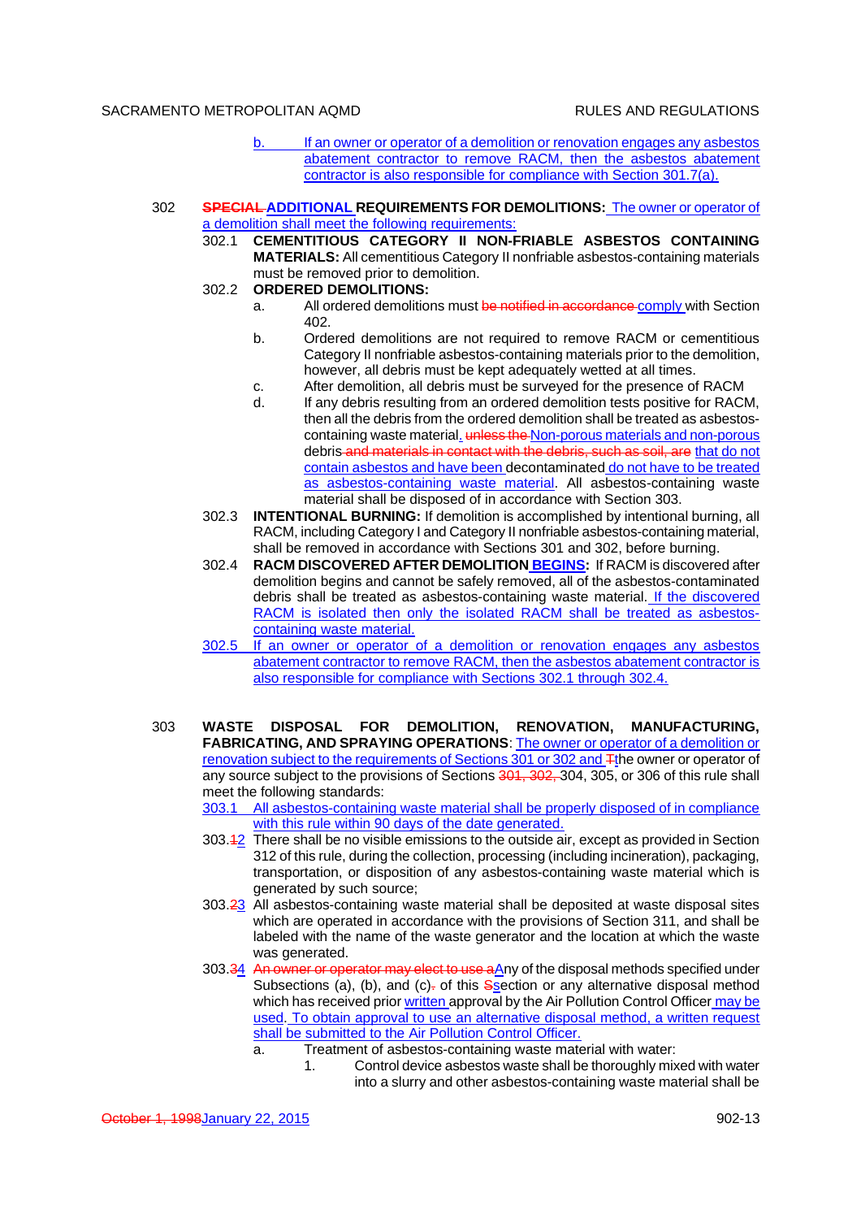- b. If an owner or operator of a demolition or renovation engages any asbestos abatement contractor to remove RACM, then the asbestos abatement contractor is also responsible for compliance with Section 301.7(a).
- 302 **SPECIAL ADDITIONAL REQUIREMENTS FOR DEMOLITIONS:** The owner or operator of a demolition shall meet the following requirements:
	- 302.1 **CEMENTITIOUS CATEGORY II NON-FRIABLE ASBESTOS CONTAINING MATERIALS:** All cementitious Category II nonfriable asbestos-containing materials must be removed prior to demolition.
	- 302.2 **ORDERED DEMOLITIONS:**
		- a. All ordered demolitions must be notified in accordance comply with Section 402.
		- b. Ordered demolitions are not required to remove RACM or cementitious Category II nonfriable asbestos-containing materials prior to the demolition, however, all debris must be kept adequately wetted at all times.
		- c. After demolition, all debris must be surveyed for the presence of RACM<br>d. If any debris resulting from an ordered demolition tests positive for RACI
		- If any debris resulting from an ordered demolition tests positive for RACM. then all the debris from the ordered demolition shall be treated as asbestoscontaining waste material. unless the Non-porous materials and non-porous debris and materials in contact with the debris, such as soil, are that do not contain asbestos and have been decontaminated do not have to be treated as asbestos-containing waste material. All asbestos-containing waste material shall be disposed of in accordance with Section 303.
	- 302.3 **INTENTIONAL BURNING:** If demolition is accomplished by intentional burning, all RACM, including Category I and Category II nonfriable asbestos-containing material, shall be removed in accordance with Sections 301 and 302, before burning.
	- 302.4 **RACM DISCOVERED AFTER DEMOLITION BEGINS:** If RACM is discovered after demolition begins and cannot be safely removed, all of the asbestos-contaminated debris shall be treated as asbestos-containing waste material. If the discovered RACM is isolated then only the isolated RACM shall be treated as asbestoscontaining waste material.
	- 302.5 If an owner or operator of a demolition or renovation engages any asbestos abatement contractor to remove RACM, then the asbestos abatement contractor is also responsible for compliance with Sections 302.1 through 302.4.
- 303 **WASTE DISPOSAL FOR DEMOLITION, RENOVATION, MANUFACTURING, FABRICATING, AND SPRAYING OPERATIONS**: The owner or operator of a demolition or renovation subject to the requirements of Sections 301 or 302 and Tthe owner or operator of any source subject to the provisions of Sections 301, 302, 304, 305, or 306 of this rule shall meet the following standards:

303.1 All asbestos-containing waste material shall be properly disposed of in compliance with this rule within 90 days of the date generated.

- 303.12 There shall be no visible emissions to the outside air, except as provided in Section 312 of this rule, during the collection, processing (including incineration), packaging, transportation, or disposition of any asbestos-containing waste material which is generated by such source;
- 303.23 All asbestos-containing waste material shall be deposited at waste disposal sites which are operated in accordance with the provisions of Section 311, and shall be labeled with the name of the waste generator and the location at which the waste
- was generated.<br>303.34 An owner or ope tor may elect to use aAny of the disposal methods specified under Subsections (a), (b), and (c) $=$  of this Ssection or any alternative disposal method which has received prior written approval by the Air Pollution Control Officer may be used. To obtain approval to use an alternative disposal method, a written request shall be submitted to the Air Pollution Control Officer.
	- a. Treatment of asbestos-containing waste material with water:
		- 1. Control device asbestos waste shall be thoroughly mixed with water into a slurry and other asbestos-containing waste material shall be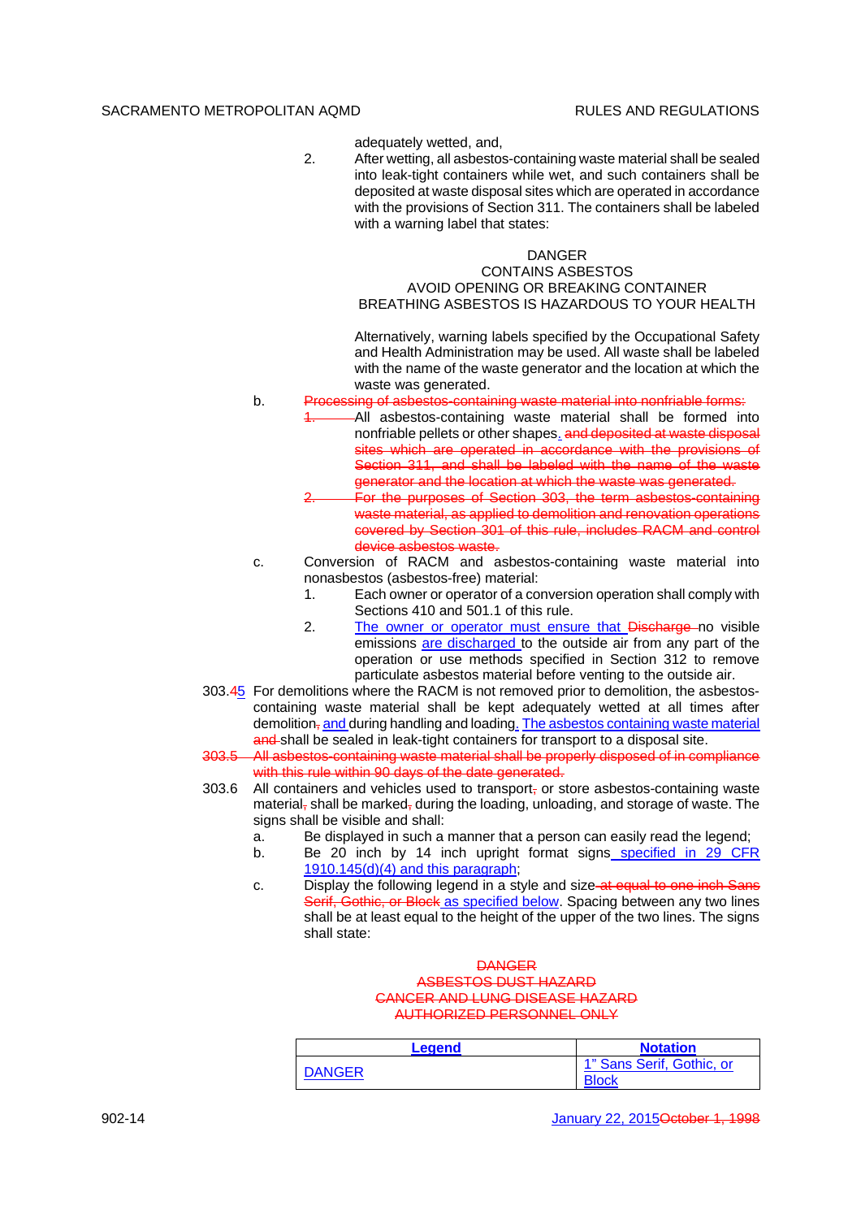adequately wetted, and,

2. After wetting, all asbestos-containing waste material shall be sealed into leak-tight containers while wet, and such containers shall be deposited at waste disposal sites which are operated in accordance with the provisions of Section 311. The containers shall be labeled with a warning label that states:

# DANGER

## CONTAINS ASBESTOS AVOID OPENING OR BREAKING CONTAINER BREATHING ASBESTOS IS HAZARDOUS TO YOUR HEALTH

Alternatively, warning labels specified by the Occupational Safety and Health Administration may be used. All waste shall be labeled with the name of the waste generator and the location at which the waste was generated.

- b. Processing of asbestos-containing waste material into nonfriable forms:
	- 1. All asbestos-containing waste material shall be formed into nonfriable pellets or other shapes. and deposited at waste disposal sites which are operated in accordance with the provisions of Section 311, and shall be labeled with the name of the waste generator and the location at which the waste was generated.
		- 2. For the purposes of Section 303, the term asbestos-containing waste material, as applied to demolition and renovation operations covered by Section 301 of this rule, includes RACM and control device asbestos waste.
- c. Conversion of RACM and asbestos-containing waste material into nonasbestos (asbestos-free) material:
	- 1. Each owner or operator of a conversion operation shall comply with Sections 410 and 501.1 of this rule.
	- 2. The owner or operator must ensure that Discharge no visible emissions are discharged to the outside air from any part of the operation or use methods specified in Section 312 to remove particulate asbestos material before venting to the outside air.
- 303.45 For demolitions where the RACM is not removed prior to demolition, the asbestoscontaining waste material shall be kept adequately wetted at all times after demolition, and during handling and loading. The asbestos containing waste material and shall be sealed in leak-tight containers for transport to a disposal site.
- 303.5 All asbestos-containing waste material shall be properly disposed of in compliance with this rule within 90 days of the date generated.
- 303.6 All containers and vehicles used to transport- or store asbestos-containing waste material, shall be marked, during the loading, unloading, and storage of waste. The signs shall be visible and shall:
	- a. Be displayed in such a manner that a person can easily read the legend;
	- b. Be 20 inch by 14 inch upright format signs specified in 29 CFR 1910.145(d)(4) and this paragraph;
	- c. Display the following legend in a style and size at equal to one inch Sans Serif, Gothic, or Block as specified below. Spacing between any two lines shall be at least equal to the height of the upper of the two lines. The signs shall state:

## **DANGER** ASBESTOS DUST HAZARD CANCER AND LUNG DISEASE HAZARD AUTHORIZED PERSONNEL ONLY

| Leaend | <b>Notation</b>                           |
|--------|-------------------------------------------|
| DANGER | 1" Sans Serif, Gothic, or<br><b>Block</b> |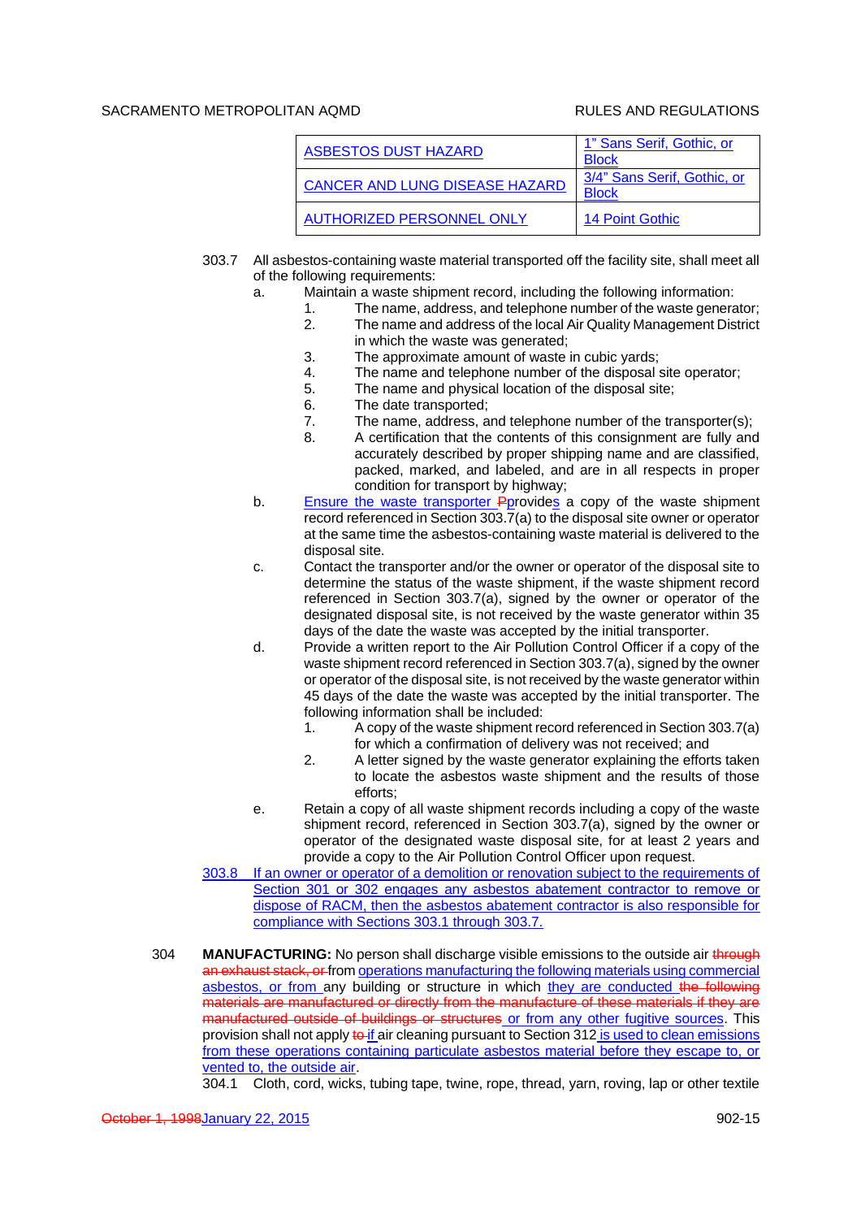| ASBESTOS DUST HAZARD                  | 1" Sans Serif, Gothic, or<br><b>Block</b>   |
|---------------------------------------|---------------------------------------------|
| <b>CANCER AND LUNG DISEASE HAZARD</b> | 3/4" Sans Serif, Gothic, or<br><b>Block</b> |
| <b>AUTHORIZED PERSONNEL ONLY</b>      | 14 Point Gothic                             |

- 303.7 All asbestos-containing waste material transported off the facility site, shall meet all of the following requirements:
	- a. Maintain a waste shipment record, including the following information:
		- 1. The name, address, and telephone number of the waste generator;<br>2. The name and address of the local Air Quality Management District
		- The name and address of the local Air Quality Management District in which the waste was generated;
		- 3. The approximate amount of waste in cubic yards;
		- 4. The name and telephone number of the disposal site operator;
		- 5. The name and physical location of the disposal site;
		- 6. The date transported;
		- 7. The name, address, and telephone number of the transporter(s);
		- 8. A certification that the contents of this consignment are fully and accurately described by proper shipping name and are classified, packed, marked, and labeled, and are in all respects in proper condition for transport by highway;
	- b. Ensure the waste transporter Pprovides a copy of the waste shipment record referenced in Section 303.7(a) to the disposal site owner or operator at the same time the asbestos-containing waste material is delivered to the disposal site.
	- c. Contact the transporter and/or the owner or operator of the disposal site to determine the status of the waste shipment, if the waste shipment record referenced in Section 303.7(a), signed by the owner or operator of the designated disposal site, is not received by the waste generator within 35 days of the date the waste was accepted by the initial transporter.
	- d. Provide a written report to the Air Pollution Control Officer if a copy of the waste shipment record referenced in Section 303.7(a), signed by the owner or operator of the disposal site, is not received by the waste generator within 45 days of the date the waste was accepted by the initial transporter. The following information shall be included:
		- 1. A copy of the waste shipment record referenced in Section 303.7(a) for which a confirmation of delivery was not received; and
		- 2. A letter signed by the waste generator explaining the efforts taken to locate the asbestos waste shipment and the results of those efforts;
	- e. Retain a copy of all waste shipment records including a copy of the waste shipment record, referenced in Section 303.7(a), signed by the owner or operator of the designated waste disposal site, for at least 2 years and provide a copy to the Air Pollution Control Officer upon request.
- 303.8 If an owner or operator of a demolition or renovation subject to the requirements of Section 301 or 302 engages any asbestos abatement contractor to remove or dispose of RACM, then the asbestos abatement contractor is also responsible for compliance with Sections 303.1 through 303.7.
- 304 **MANUFACTURING:** No person shall discharge visible emissions to the outside air through an exhaust stack, or from operations manufacturing the following materials using commercial asbestos, or from any building or structure in which they are conducted the following materials are manufactured or directly from the manufacture of these materials if they are manufactured outside of buildings or structures or from any other fugitive sources. This provision shall not apply  $\frac{1}{2}$  air cleaning pursuant to Section 312 is used to clean emissions from these operations containing particulate asbestos material before they escape to, or vented to, the outside air.

304.1 Cloth, cord, wicks, tubing tape, twine, rope, thread, yarn, roving, lap or other textile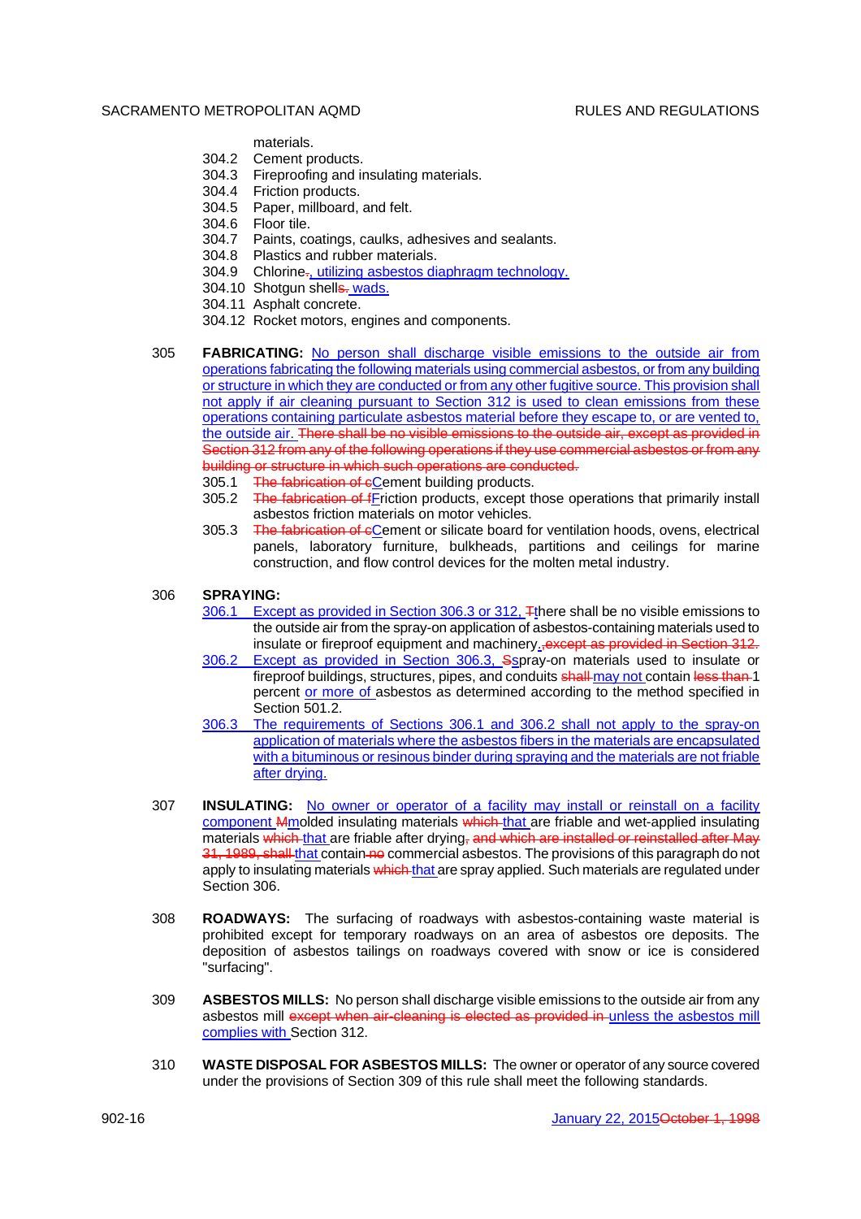materials.

- 304.2 Cement products.
- 304.3 Fireproofing and insulating materials.
- 304.4 Friction products.
- 304.5 Paper, millboard, and felt.
- 304.6 Floor tile.
- 304.7 Paints, coatings, caulks, adhesives and sealants.
- 304.8 Plastics and rubber materials.
- 304.9 Chlorine<sub>r</sub>, utilizing asbestos diaphragm technology.
- 304.10 Shotgun shells. wads.
- 304.11 Asphalt concrete.
- 304.12 Rocket motors, engines and components.
- 305 **FABRICATING:** No person shall discharge visible emissions to the outside air from operations fabricating the following materials using commercial asbestos, or from any building or structure in which they are conducted or from any other fugitive source. This provision shall not apply if air cleaning pursuant to Section 312 is used to clean emissions from these operations containing particulate asbestos material before they escape to, or are vented to, the outside air. There shall be no visible emissions to the outside air, except as provided in Section 312 from any of the following operations if they use commercial asbestos or from any building or structure in which such operations are conducted.
	- 305.1 The fabrication of cCement building products.
	- 305.2 The fabrication of fFriction products, except those operations that primarily install asbestos friction materials on motor vehicles.
	- 305.3 The fabrication of cCement or silicate board for ventilation hoods, ovens, electrical panels, laboratory furniture, bulkheads, partitions and ceilings for marine construction, and flow control devices for the molten metal industry.

# 306 **SPRAYING:**

- 306.1 Except as provided in Section 306.3 or 312. There shall be no visible emissions to the outside air from the spray-on application of asbestos-containing materials used to insulate or fireproof equipment and machinery., except as provided in Section 312.
- 306.2 Except as provided in Section 306.3, Sspray-on materials used to insulate or fireproof buildings, structures, pipes, and conduits shall may not contain less than 1 percent or more of asbestos as determined according to the method specified in Section 501.2
- 306.3 The requirements of Sections 306.1 and 306.2 shall not apply to the spray-on application of materials where the asbestos fibers in the materials are encapsulated with a bituminous or resinous binder during spraying and the materials are not friable after drying.
- 307 **INSULATING:** No owner or operator of a facility may install or reinstall on a facility component Mmolded insulating materials which that are friable and wet-applied insulating materials which that are friable after drying, and which are installed or reinstalled after May 31, 1989, shall that contain no commercial asbestos. The provisions of this paragraph do not apply to insulating materials which that are spray applied. Such materials are regulated under Section 306.
- 308 **ROADWAYS:** The surfacing of roadways with asbestos-containing waste material is prohibited except for temporary roadways on an area of asbestos ore deposits. The deposition of asbestos tailings on roadways covered with snow or ice is considered "surfacing".
- 309 **ASBESTOS MILLS:** No person shall discharge visible emissions to the outside air from any asbestos mill except when air-cleaning is elected as provided in-unless the asbestos mill complies with Section 312.
- 310 **WASTE DISPOSAL FOR ASBESTOS MILLS:** The owner or operator of any source covered under the provisions of Section 309 of this rule shall meet the following standards.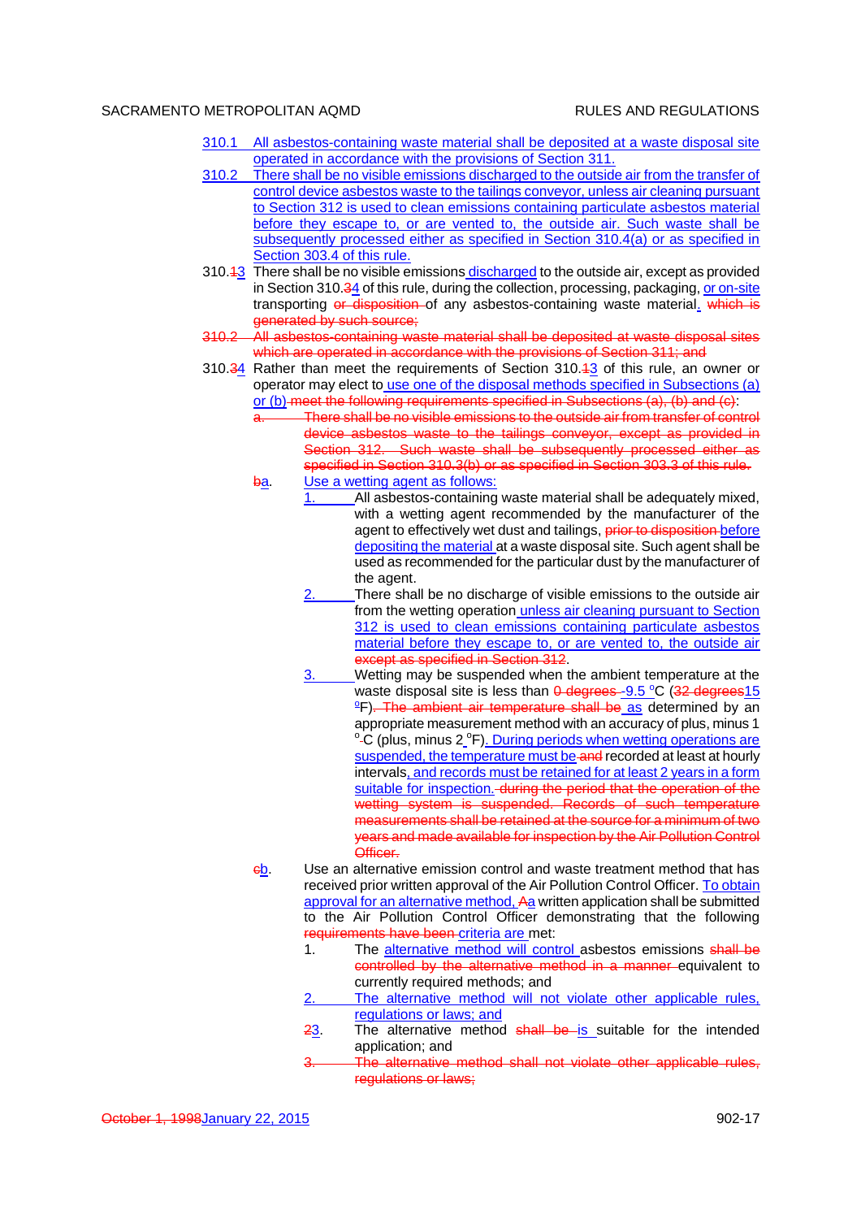- 310.1 All asbestos-containing waste material shall be deposited at a waste disposal site operated in accordance with the provisions of Section 311.
- 310.2 There shall be no visible emissions discharged to the outside air from the transfer of control device asbestos waste to the tailings conveyor, unless air cleaning pursuant to Section 312 is used to clean emissions containing particulate asbestos material before they escape to, or are vented to, the outside air. Such waste shall be subsequently processed either as specified in Section 310.4(a) or as specified in Section 303.4 of this rule.
- 310.43 There shall be no visible emissions discharged to the outside air, except as provided in Section 310.34 of this rule, during the collection, processing, packaging, or on-site transporting or disposition of any asbestos-containing waste material. which is generated by such source;
- 310.2 All asbestos-containing waste material shall be deposited at waste disposal sites which are operated in accordance with the provisions of Section 311; and
- 310.34 Rather than meet the requirements of Section 310.13 of this rule, an owner or operator may elect to use one of the disposal methods specified in Subsections (a) or (b) meet the following requirements specified in Subsections (a), (b) and (c):
	- There shall be no visible emissions to the outside air from transfer of control device asbestos waste to the tailings conveyor, except as provided in Section 312. Such waste shall be subsequently processed either as specified in Section 310.3(b) or as specified in Section 303.3 of this rule. ba. Use a wetting agent as follows:
		- All asbestos-containing waste material shall be adequately mixed, with a wetting agent recommended by the manufacturer of the agent to effectively wet dust and tailings, prior to disposition before depositing the material at a waste disposal site. Such agent shall be used as recommended for the particular dust by the manufacturer of the agent.
			- There shall be no discharge of visible emissions to the outside air from the wetting operation unless air cleaning pursuant to Section 312 is used to clean emissions containing particulate asbestos material before they escape to, or are vented to, the outside air except as specified in Section 312.
			- 3. Wetting may be suspended when the ambient temperature at the waste disposal site is less than  $\theta$  degrees-9.5 °C (32 degrees15  $\text{eF}$ ). The ambient air temperature shall be as determined by an appropriate measurement method with an accuracy of plus, minus 1 <sup>o</sup>-C (plus, minus 2<sup>o</sup>F). During periods when wetting operations are suspended, the temperature must be and recorded at least at hourly intervals, and records must be retained for at least 2 years in a form suitable for inspection. during the period that the operation of the wetting system is suspended. Records of such temperature measurements shall be retained at the source for a minimum of two years and made available for inspection by the Air Pollution Control Officer.
	- cb. Use an alternative emission control and waste treatment method that has received prior written approval of the Air Pollution Control Officer. To obtain approval for an alternative method, Aa written application shall be submitted to the Air Pollution Control Officer demonstrating that the following requirements have been criteria are met:
		- 1. The alternative method will control asbestos emissions shall be controlled by the alternative method in a manner equivalent to currently required methods; and
		- The alternative method will not violate other applicable rules, regulations or laws; and
		- 23. The alternative method shall be is suitable for the intended application; and
		- 3. The alternative method shall not violate other applicable rules, regulations or laws;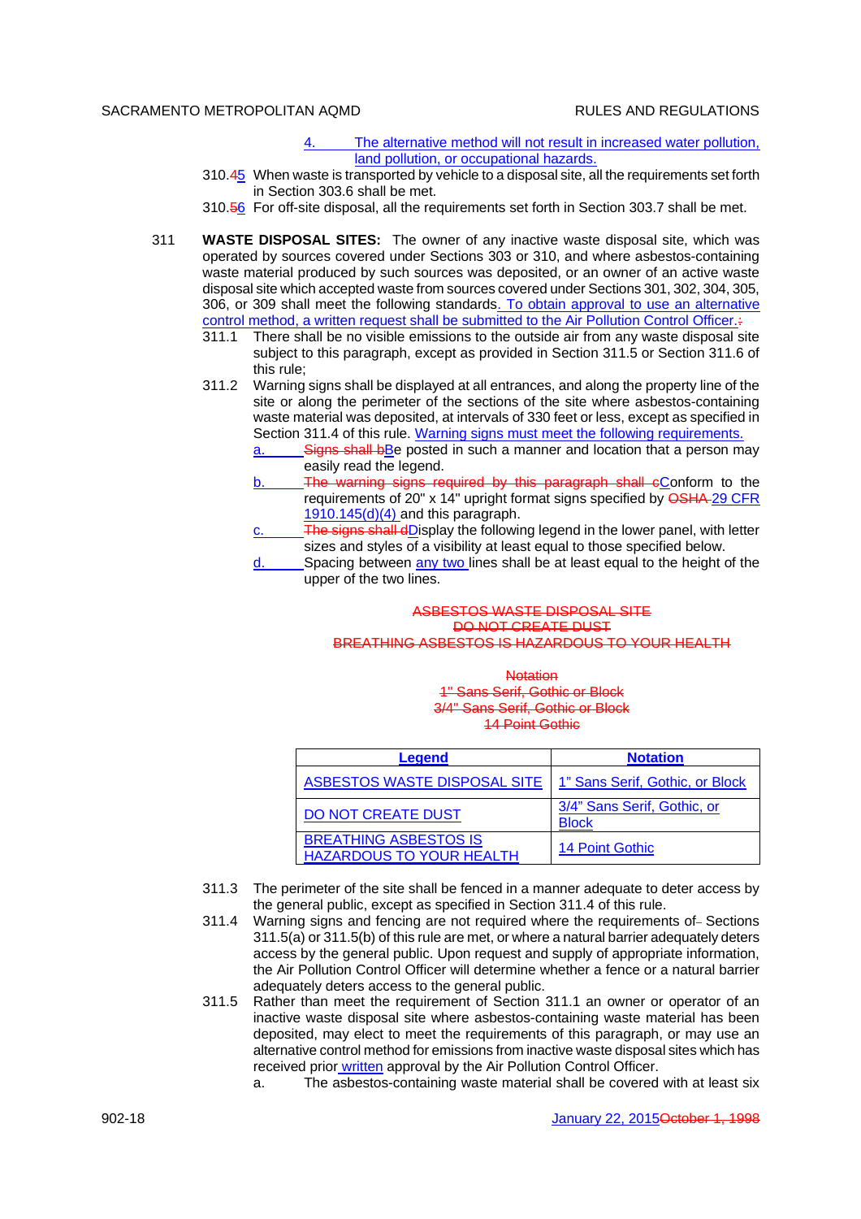- 4. The alternative method will not result in increased water pollution, land pollution, or occupational hazards.
- 310.45 When waste is transported by vehicle to a disposal site, all the requirements set forth in Section 303.6 shall be met.
- 310.56 For off-site disposal, all the requirements set forth in Section 303.7 shall be met.
- 311 **WASTE DISPOSAL SITES:** The owner of any inactive waste disposal site, which was operated by sources covered under Sections 303 or 310, and where asbestos-containing waste material produced by such sources was deposited, or an owner of an active waste disposal site which accepted waste from sources covered under Sections 301, 302, 304, 305, 306, or 309 shall meet the following standards. To obtain approval to use an alternative control method, a written request shall be submitted to the Air Pollution Control Officer.:
	- 311.1 There shall be no visible emissions to the outside air from any waste disposal site subject to this paragraph, except as provided in Section 311.5 or Section 311.6 of this rule;
	- 311.2 Warning signs shall be displayed at all entrances, and along the property line of the site or along the perimeter of the sections of the site where asbestos-containing waste material was deposited, at intervals of 330 feet or less, except as specified in Section 311.4 of this rule. Warning signs must meet the following requirements.
		- a. Signs shall be posted in such a manner and location that a person may easily read the legend.
		- b. The warning signs required by this paragraph shall cConform to the requirements of 20" x 14" upright format signs specified by **OSHA**-29 CFR  $1910.145(d)(4)$  and this paragraph.
		- The signs shall dDisplay the following legend in the lower panel, with letter sizes and styles of a visibility at least equal to those specified below.
		- $\frac{d}{dx}$  Spacing between  $\frac{any \, two \, lines}$  shall be at least equal to the height of the upper of the two lines.

### ASBESTOS WASTE DISPOSAL SITE DO NOT CREATE DUST BREATHING ASBESTOS IS HAZARDOUS TO YOUR HEALTH

**Notation** 1" Sans Serif, Gothic or Block 3/4" Sans Serif, Gothic or Block 14 Point Gothic

| Legend                                                          | <b>Notation</b>                             |
|-----------------------------------------------------------------|---------------------------------------------|
| ASBESTOS WASTE DISPOSAL SITE                                    | 1" Sans Serif, Gothic, or Block             |
| DO NOT CREATE DUST                                              | 3/4" Sans Serif, Gothic, or<br><b>Block</b> |
| <b>BREATHING ASBESTOS IS</b><br><b>HAZARDOUS TO YOUR HEALTH</b> | 14 Point Gothic                             |

- 311.3 The perimeter of the site shall be fenced in a manner adequate to deter access by the general public, except as specified in Section 311.4 of this rule.
- 311.4 Warning signs and fencing are not required where the requirements of Sections 311.5(a) or 311.5(b) of this rule are met, or where a natural barrier adequately deters access by the general public. Upon request and supply of appropriate information, the Air Pollution Control Officer will determine whether a fence or a natural barrier adequately deters access to the general public.
- 311.5 Rather than meet the requirement of Section 311.1 an owner or operator of an inactive waste disposal site where asbestos-containing waste material has been deposited, may elect to meet the requirements of this paragraph, or may use an alternative control method for emissions from inactive waste disposal sites which has received prior written approval by the Air Pollution Control Officer.
	- a. The asbestos-containing waste material shall be covered with at least six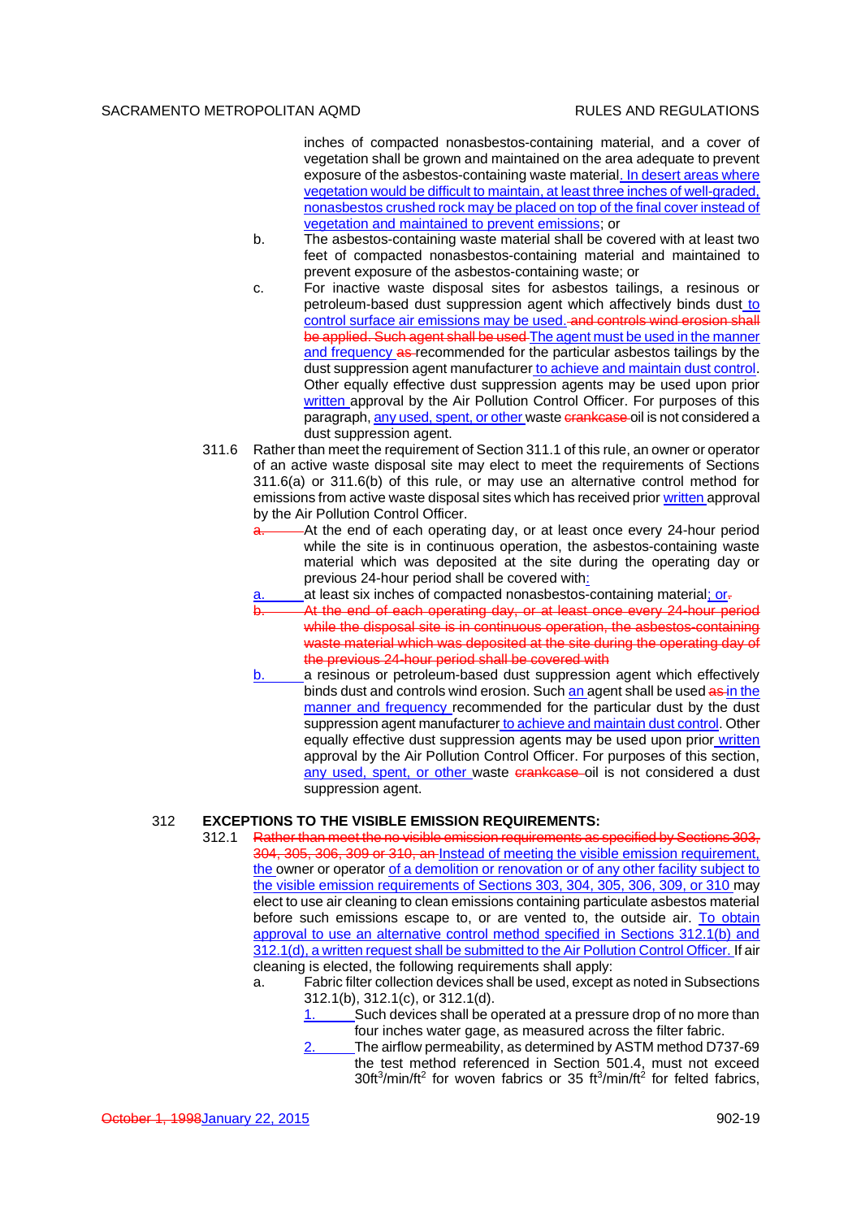inches of compacted nonasbestos-containing material, and a cover of vegetation shall be grown and maintained on the area adequate to prevent exposure of the asbestos-containing waste material. In desert areas where vegetation would be difficult to maintain, at least three inches of well-graded, nonasbestos crushed rock may be placed on top of the final cover instead of vegetation and maintained to prevent emissions; or

- b. The asbestos-containing waste material shall be covered with at least two feet of compacted nonasbestos-containing material and maintained to prevent exposure of the asbestos-containing waste; or
- c. For inactive waste disposal sites for asbestos tailings, a resinous or petroleum-based dust suppression agent which affectively binds dust to control surface air emissions may be used. and controls wind erosion shall be applied. Such agent shall be used The agent must be used in the manner and frequency as recommended for the particular asbestos tailings by the dust suppression agent manufacturer to achieve and maintain dust control. Other equally effective dust suppression agents may be used upon prior written approval by the Air Pollution Control Officer. For purposes of this paragraph, any used, spent, or other waste crankcase oil is not considered a dust suppression agent.
- 311.6 Rather than meet the requirement of Section 311.1 of this rule, an owner or operator of an active waste disposal site may elect to meet the requirements of Sections 311.6(a) or 311.6(b) of this rule, or may use an alternative control method for emissions from active waste disposal sites which has received prior written approval by the Air Pollution Control Officer.
	- -At the end of each operating day, or at least once every 24-hour period while the site is in continuous operation, the asbestos-containing waste material which was deposited at the site during the operating day or previous 24-hour period shall be covered with:
	- at least six inches of compacted nonasbestos-containing material; or-
	- At the end of each operating day, or at least once every 24-hour period while the disposal site is in continuous operation, the asbestos-containing waste material which was deposited at the site during the operating day of the previous 24-hour period shall be covered with
	- a resinous or petroleum-based dust suppression agent which effectively binds dust and controls wind erosion. Such an agent shall be used as in the manner and frequency recommended for the particular dust by the dust suppression agent manufacturer to achieve and maintain dust control. Other equally effective dust suppression agents may be used upon prior written approval by the Air Pollution Control Officer. For purposes of this section, any used, spent, or other waste crankcase oil is not considered a dust suppression agent.

### 312 **EXCEPTIONS TO THE VISIBLE EMISSION REQUIREMENTS:**

- 312.1 Rather than meet the no visible emission requirements as specified by Sections 303, 304, 305, 306, 309 or 310, an Instead of meeting the visible emission requirement, the owner or operator of a demolition or renovation or of any other facility subject to the visible emission requirements of Sections 303, 304, 305, 306, 309, or 310 may elect to use air cleaning to clean emissions containing particulate asbestos material before such emissions escape to, or are vented to, the outside air. To obtain approval to use an alternative control method specified in Sections 312.1(b) and 312.1(d), a written request shall be submitted to the Air Pollution Control Officer. If air cleaning is elected, the following requirements shall apply:
	- a. Fabric filter collection devices shall be used, except as noted in Subsections 312.1(b), 312.1(c), or 312.1(d).
		- Such devices shall be operated at a pressure drop of no more than four inches water gage, as measured across the filter fabric.
		- 2. The airflow permeability, as determined by ASTM method D737-69 the test method referenced in Section 501.4, must not exceed 30ft<sup>3</sup>/min/ft<sup>2</sup> for woven fabrics or 35 ft<sup>3</sup>/min/ft<sup>2</sup> for felted fabrics,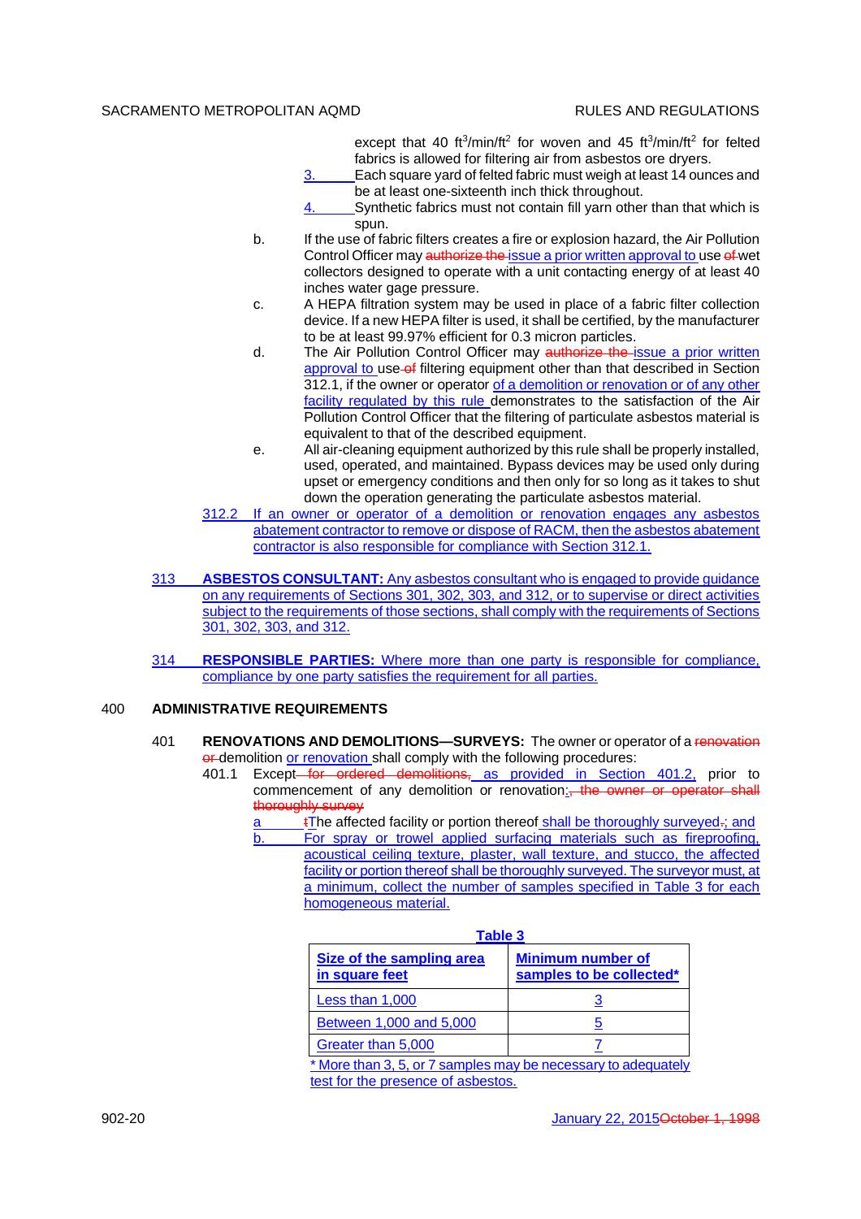except that 40 ft<sup>3</sup>/min/ft<sup>2</sup> for woven and 45 ft<sup>3</sup>/min/ft<sup>2</sup> for felted fabrics is allowed for filtering air from asbestos ore dryers.

- 3. Each square yard of felted fabric must weigh at least 14 ounces and be at least one-sixteenth inch thick throughout.
- 4. Synthetic fabrics must not contain fill yarn other than that which is spun.
- b. If the use of fabric filters creates a fire or explosion hazard, the Air Pollution Control Officer may authorize the issue a prior written approval to use of wet collectors designed to operate with a unit contacting energy of at least 40 inches water gage pressure.
- c. A HEPA filtration system may be used in place of a fabric filter collection device. If a new HEPA filter is used, it shall be certified, by the manufacturer to be at least 99.97% efficient for 0.3 micron particles.
- d. The Air Pollution Control Officer may authorize the issue a prior written approval to use of filtering equipment other than that described in Section 312.1, if the owner or operator of a demolition or renovation or of any other facility regulated by this rule demonstrates to the satisfaction of the Air Pollution Control Officer that the filtering of particulate asbestos material is equivalent to that of the described equipment.
- e. All air-cleaning equipment authorized by this rule shall be properly installed, used, operated, and maintained. Bypass devices may be used only during upset or emergency conditions and then only for so long as it takes to shut down the operation generating the particulate asbestos material.
- 312.2 If an owner or operator of a demolition or renovation engages any asbestos abatement contractor to remove or dispose of RACM, then the asbestos abatement contractor is also responsible for compliance with Section 312.1.
- 313 **ASBESTOS CONSULTANT:** Any asbestos consultant who is engaged to provide guidance on any requirements of Sections 301, 302, 303, and 312, or to supervise or direct activities subject to the requirements of those sections, shall comply with the requirements of Sections 301, 302, 303, and 312.
- 314 **RESPONSIBLE PARTIES:** Where more than one party is responsible for compliance, compliance by one party satisfies the requirement for all parties.

# 400 **ADMINISTRATIVE REQUIREMENTS**

- 401 **RENOVATIONS AND DEMOLITIONS—SURVEYS:** The owner or operator of a renovation or demolition or renovation shall comply with the following procedures:
	- 401.1 Except<del> for ordered demolitions, as provided in Section 401.2,</del> prior to commencement of any demolition or renovation: the owner or operator shall thoroughly survey
		- tThe affected facility or portion thereof shall be thoroughly surveyed-; and b. For spray or trowel applied surfacing materials such as fireproofing, acoustical ceiling texture, plaster, wall texture, and stucco, the affected facility or portion thereof shall be thoroughly surveyed. The surveyor must, at a minimum, collect the number of samples specified in Table 3 for each homogeneous material.

| <b>Table 3</b>                                                |                                                      |  |  |
|---------------------------------------------------------------|------------------------------------------------------|--|--|
| Size of the sampling area<br>in square feet                   | <b>Minimum number of</b><br>samples to be collected* |  |  |
| Less than 1,000                                               |                                                      |  |  |
| Between 1,000 and 5,000                                       |                                                      |  |  |
| Greater than 5,000                                            |                                                      |  |  |
| * More than 3, 5, or 7 samples may be necessary to adequately |                                                      |  |  |
| test for the presence of asbestos.                            |                                                      |  |  |

| . . | ٠<br>۰ | .<br>۰ | ., |  |
|-----|--------|--------|----|--|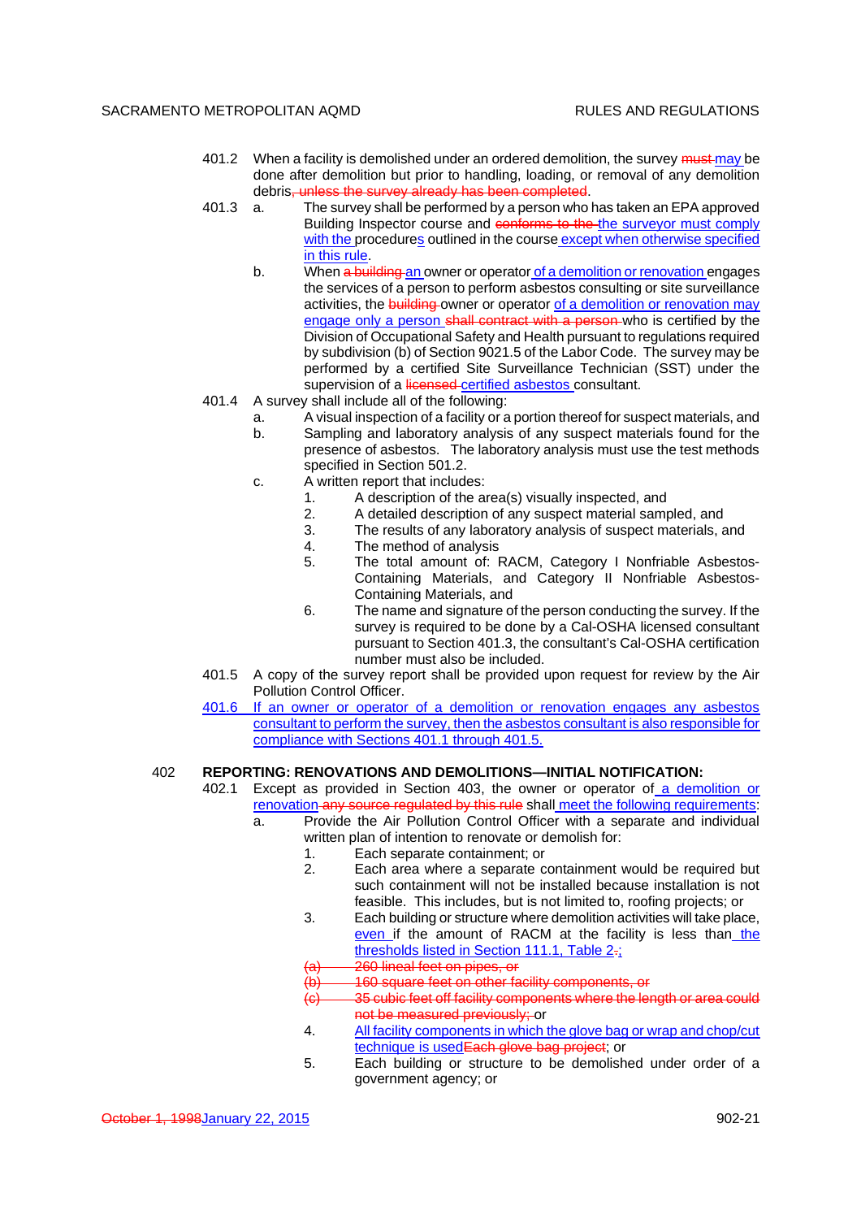- 401.2 When a facility is demolished under an ordered demolition, the survey must may be done after demolition but prior to handling, loading, or removal of any demolition debris, unless the survey already has been completed.
- 401.3 a. The survey shall be performed by a person who has taken an EPA approved Building Inspector course and conforms to the the surveyor must comply with the procedures outlined in the course except when otherwise specified in this rule.
	- b. When a building an owner or operator of a demolition or renovation engages the services of a person to perform asbestos consulting or site surveillance activities, the building owner or operator of a demolition or renovation may engage only a person shall contract with a person-who is certified by the Division of Occupational Safety and Health pursuant to regulations required by subdivision (b) of Section 9021.5 of the Labor Code. The survey may be performed by a certified Site Surveillance Technician (SST) under the supervision of a licensed certified asbestos consultant.
- 401.4 A survey shall include all of the following:
	- a. A visual inspection of a facility or a portion thereof for suspect materials, and b. Sampling and laboratory analysis of any suspect materials found for the presence of asbestos. The laboratory analysis must use the test methods
	- specified in Section 501.2.
	- c. A written report that includes:
		- 1. A description of the area(s) visually inspected, and
		- 2. A detailed description of any suspect material sampled, and
		- 3. The results of any laboratory analysis of suspect materials, and 4. The method of analysis
		- 4. The method of analysis<br>5. The total amount of: I
		- The total amount of: RACM, Category I Nonfriable Asbestos-Containing Materials, and Category II Nonfriable Asbestos-Containing Materials, and
		- 6. The name and signature of the person conducting the survey. If the survey is required to be done by a Cal-OSHA licensed consultant pursuant to Section 401.3, the consultant's Cal-OSHA certification number must also be included.
- 401.5 A copy of the survey report shall be provided upon request for review by the Air Pollution Control Officer.
- 401.6 If an owner or operator of a demolition or renovation engages any asbestos consultant to perform the survey, then the asbestos consultant is also responsible for compliance with Sections 401.1 through 401.5.

### 402 **REPORTING: RENOVATIONS AND DEMOLITIONS—INITIAL NOTIFICATION:**

- 402.1 Except as provided in Section 403, the owner or operator of a demolition or renovation any source regulated by this rule shall meet the following requirements:
	- a. Provide the Air Pollution Control Officer with a separate and individual written plan of intention to renovate or demolish for:
		- 1. Each separate containment; or<br>2. Each area where a separate c
		- Each area where a separate containment would be required but such containment will not be installed because installation is not feasible. This includes, but is not limited to, roofing projects; or
		- 3. Each building or structure where demolition activities will take place, even if the amount of RACM at the facility is less than the thresholds listed in Section 111.1, Table 2-;
		- 260 lineal feet on pipes, or
		- 160 square feet on other facility components, or
		- 35 cubic feet off facility components where the length or area could not be measured previously; or
		- 4. All facility components in which the glove bag or wrap and chop/cut technique is used Each glove bag project; or
		- 5. Each building or structure to be demolished under order of a government agency; or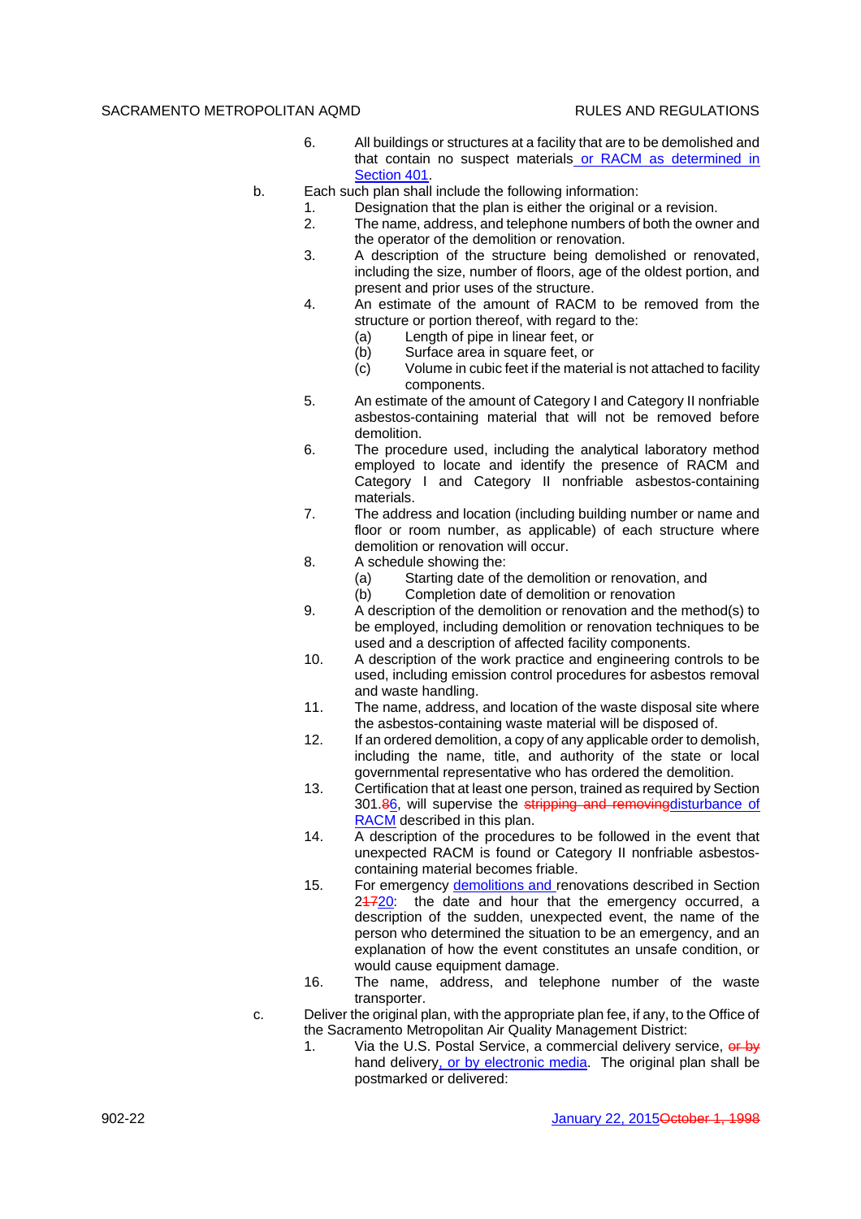- 6. All buildings or structures at a facility that are to be demolished and that contain no suspect materials or RACM as determined in Section 401.
- b. Each such plan shall include the following information:
	- 1. Designation that the plan is either the original or a revision.
		- 2. The name, address, and telephone numbers of both the owner and the operator of the demolition or renovation.
		- 3. A description of the structure being demolished or renovated, including the size, number of floors, age of the oldest portion, and present and prior uses of the structure.
		- 4. An estimate of the amount of RACM to be removed from the structure or portion thereof, with regard to the:
			- (a) Length of pipe in linear feet, or
			- (b) Surface area in square feet, or
			- (c) Volume in cubic feet if the material is not attached to facility components.
		- 5. An estimate of the amount of Category I and Category II nonfriable asbestos-containing material that will not be removed before demolition.
		- 6. The procedure used, including the analytical laboratory method employed to locate and identify the presence of RACM and Category I and Category II nonfriable asbestos-containing materials.
		- 7. The address and location (including building number or name and floor or room number, as applicable) of each structure where demolition or renovation will occur.
		- 8. A schedule showing the:
			- (a) Starting date of the demolition or renovation, and<br>(b) Completion date of demolition or renovation
				- Completion date of demolition or renovation
		- 9. A description of the demolition or renovation and the method(s) to be employed, including demolition or renovation techniques to be used and a description of affected facility components.
		- 10. A description of the work practice and engineering controls to be used, including emission control procedures for asbestos removal and waste handling.
		- 11. The name, address, and location of the waste disposal site where the asbestos-containing waste material will be disposed of.
		- 12. If an ordered demolition, a copy of any applicable order to demolish, including the name, title, and authority of the state or local governmental representative who has ordered the demolition.
		- 13. Certification that at least one person, trained as required by Section 301.86, will supervise the stripping and removing disturbance of RACM described in this plan.
		- 14. A description of the procedures to be followed in the event that unexpected RACM is found or Category II nonfriable asbestoscontaining material becomes friable.
		- 15. For emergency demolitions and renovations described in Section 24720: the date and hour that the emergency occurred, a description of the sudden, unexpected event, the name of the person who determined the situation to be an emergency, and an explanation of how the event constitutes an unsafe condition, or would cause equipment damage.
		- 16. The name, address, and telephone number of the waste transporter.
- c. Deliver the original plan, with the appropriate plan fee, if any, to the Office of the Sacramento Metropolitan Air Quality Management District:
	- 1. Via the U.S. Postal Service, a commercial delivery service, or by hand delivery, or by electronic media. The original plan shall be postmarked or delivered: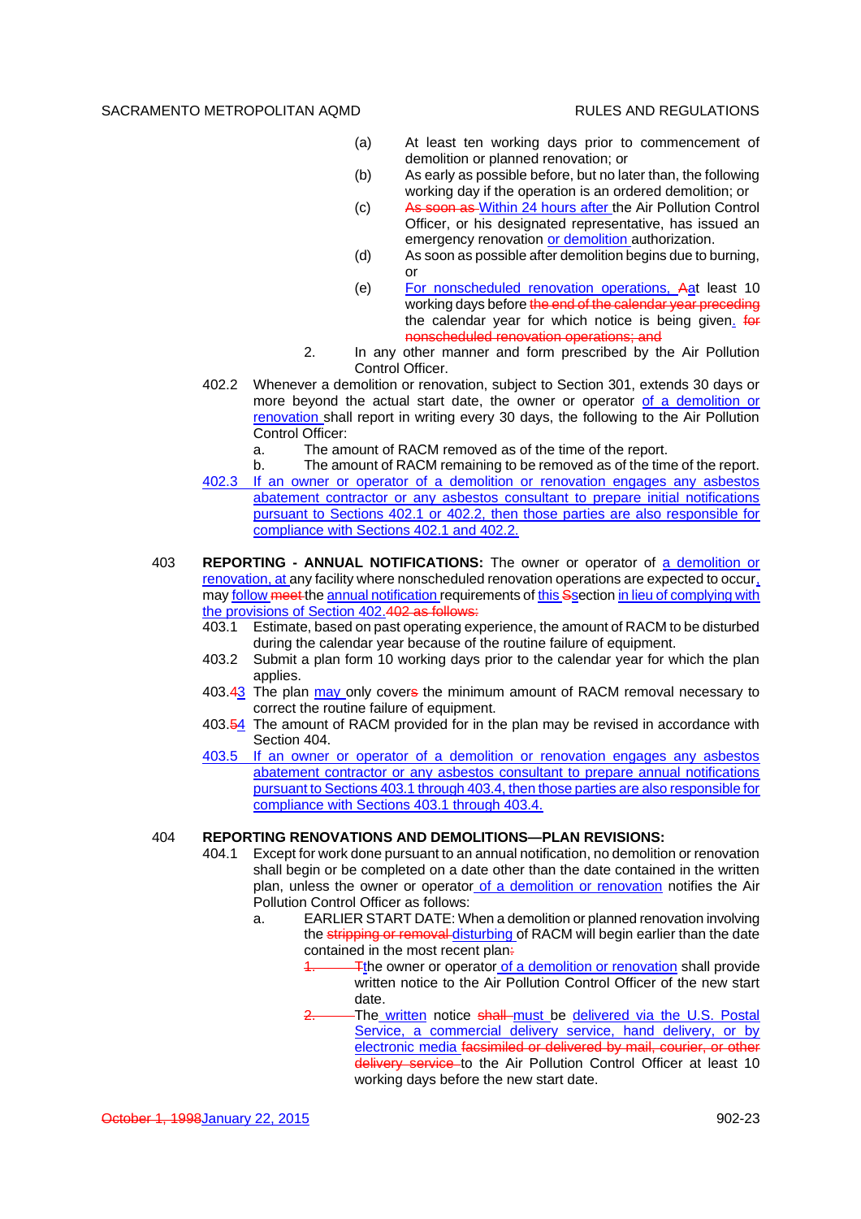- (a) At least ten working days prior to commencement of demolition or planned renovation; or
- (b) As early as possible before, but no later than, the following working day if the operation is an ordered demolition; or
- (c) As soon as Within 24 hours after the Air Pollution Control Officer, or his designated representative, has issued an emergency renovation or demolition authorization.
- (d) As soon as possible after demolition begins due to burning, or
- (e) For nonscheduled renovation operations, Aat least 10 working days before the end of the calendar year preceding the calendar year for which notice is being given. **for** nonscheduled renovation operations; and
- 2. In any other manner and form prescribed by the Air Pollution Control Officer.
- 402.2 Whenever a demolition or renovation, subject to Section 301, extends 30 days or more beyond the actual start date, the owner or operator of a demolition or renovation shall report in writing every 30 days, the following to the Air Pollution Control Officer:
	- a. The amount of RACM removed as of the time of the report.
- b. The amount of RACM remaining to be removed as of the time of the report. 402.3 If an owner or operator of a demolition or renovation engages any asbestos abatement contractor or any asbestos consultant to prepare initial notifications pursuant to Sections 402.1 or 402.2, then those parties are also responsible for compliance with Sections 402.1 and 402.2.
- 403 **REPORTING ANNUAL NOTIFICATIONS:** The owner or operator of a demolition or renovation, at any facility where nonscheduled renovation operations are expected to occur, may follow meet the annual notification requirements of this Ssection in lieu of complying with the provisions of Section 402.402 as follows:
	- 403.1 Estimate, based on past operating experience, the amount of RACM to be disturbed during the calendar year because of the routine failure of equipment.
	- 403.2 Submit a plan form 10 working days prior to the calendar year for which the plan applies.
	- 403.43 The plan may only covers the minimum amount of RACM removal necessary to correct the routine failure of equipment.
	- 403.54 The amount of RACM provided for in the plan may be revised in accordance with Section 404.
	- 403.5 If an owner or operator of a demolition or renovation engages any asbestos abatement contractor or any asbestos consultant to prepare annual notifications pursuant to Sections 403.1 through 403.4, then those parties are also responsible for compliance with Sections 403.1 through 403.4.

#### 404 **REPORTING RENOVATIONS AND DEMOLITIONS—PLAN REVISIONS:**

- 404.1 Except for work done pursuant to an annual notification, no demolition or renovation shall begin or be completed on a date other than the date contained in the written plan, unless the owner or operator of a demolition or renovation notifies the Air Pollution Control Officer as follows:
	- a. EARLIER START DATE: When a demolition or planned renovation involving the stripping or removal disturbing of RACM will begin earlier than the date contained in the most recent plan:
		- The owner or operator of a demolition or renovation shall provide written notice to the Air Pollution Control Officer of the new start date.
		- The written notice shall must be delivered via the U.S. Postal Service, a commercial delivery service, hand delivery, or by electronic media facsimiled or delivered by mail, courier, or other delivery service to the Air Pollution Control Officer at least 10 working days before the new start date.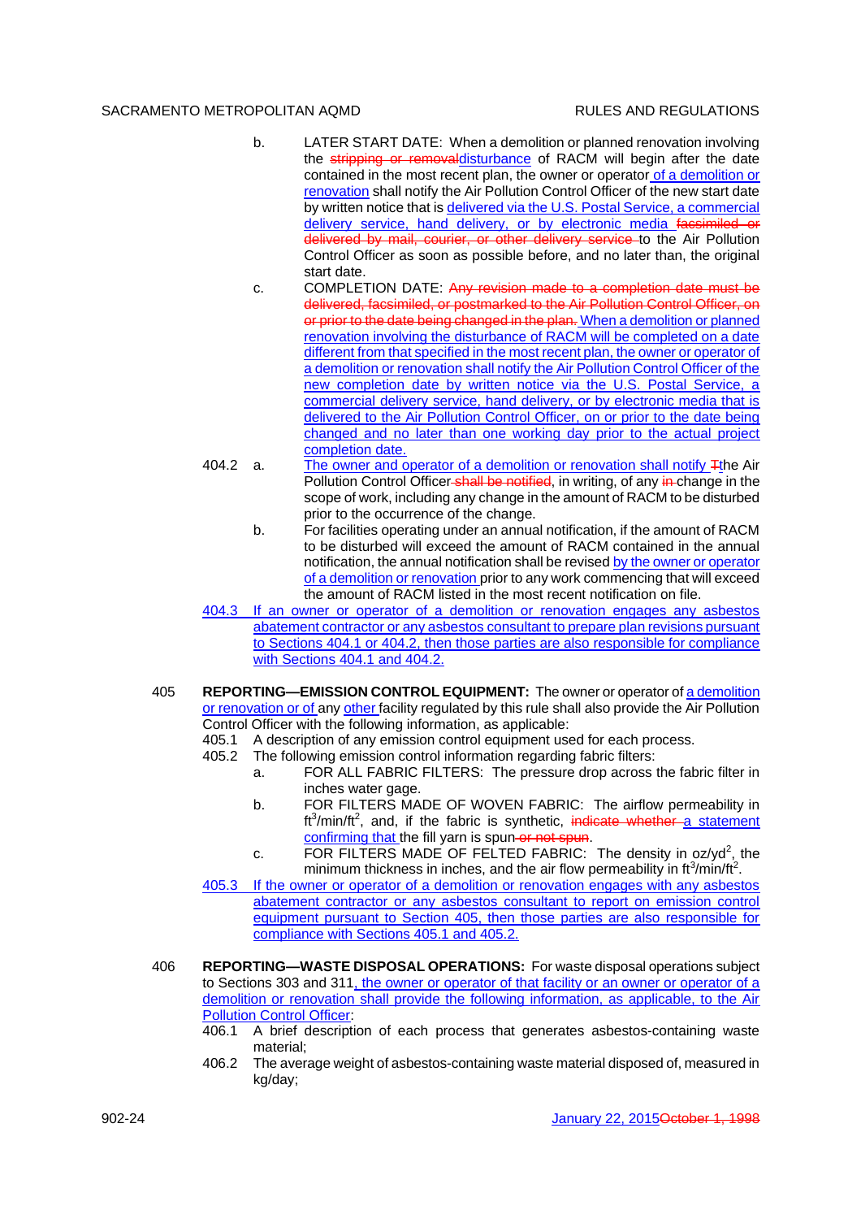- b. LATER START DATE: When a demolition or planned renovation involving the stripping or removaldisturbance of RACM will begin after the date contained in the most recent plan, the owner or operator of a demolition or renovation shall notify the Air Pollution Control Officer of the new start date by written notice that is delivered via the U.S. Postal Service, a commercial delivery service, hand delivery, or by electronic media facsimiled or delivered by mail, courier, or other delivery service to the Air Pollution Control Officer as soon as possible before, and no later than, the original start date.
- c. COMPLETION DATE: Any revision made to a completion date must be delivered, facsimiled, or postmarked to the Air Pollution Control Officer, on or prior to the date being changed in the plan. When a demolition or planned renovation involving the disturbance of RACM will be completed on a date different from that specified in the most recent plan, the owner or operator of a demolition or renovation shall notify the Air Pollution Control Officer of the new completion date by written notice via the U.S. Postal Service, a commercial delivery service, hand delivery, or by electronic media that is delivered to the Air Pollution Control Officer, on or prior to the date being changed and no later than one working day prior to the actual project completion date.
- 404.2 a. The owner and operator of a demolition or renovation shall notify Tthe Air Pollution Control Officer-shall be notified, in writing, of any in-change in the scope of work, including any change in the amount of RACM to be disturbed prior to the occurrence of the change.
	- b. For facilities operating under an annual notification, if the amount of RACM to be disturbed will exceed the amount of RACM contained in the annual notification, the annual notification shall be revised by the owner or operator of a demolition or renovation prior to any work commencing that will exceed the amount of RACM listed in the most recent notification on file.
- 404.3 If an owner or operator of a demolition or renovation engages any asbestos abatement contractor or any asbestos consultant to prepare plan revisions pursuant to Sections 404.1 or 404.2, then those parties are also responsible for compliance with Sections 404.1 and 404.2.
- 405 **REPORTING—EMISSION CONTROL EQUIPMENT:** The owner or operator of a demolition or renovation or of any other facility regulated by this rule shall also provide the Air Pollution Control Officer with the following information, as applicable:
	- 405.1 A description of any emission control equipment used for each process.
	- 405.2 The following emission control information regarding fabric filters:
		- a. FOR ALL FABRIC FILTERS: The pressure drop across the fabric filter in inches water gage.
		- b. FOR FILTERS MADE OF WOVEN FABRIC: The airflow permeability in ft<sup>3</sup>/min/ft<sup>2</sup>, and, if the fabric is synthetic, indicate whether a statement confirming that the fill yarn is spun or not spun.
		- c. FOR FILTERS MADE OF FELTED FABRIC: The density in oz/yd<sup>2</sup>, the minimum thickness in inches, and the air flow permeability in  $\text{ft}^3\text{/min/ft}^2$ .
	- 405.3 If the owner or operator of a demolition or renovation engages with any asbestos abatement contractor or any asbestos consultant to report on emission control equipment pursuant to Section 405, then those parties are also responsible for compliance with Sections 405.1 and 405.2.
- 406 **REPORTING—WASTE DISPOSAL OPERATIONS:** For waste disposal operations subject to Sections 303 and 311, the owner or operator of that facility or an owner or operator of a demolition or renovation shall provide the following information, as applicable, to the Air Pollution Control Officer:
	- 406.1 A brief description of each process that generates asbestos-containing waste material;
	- 406.2 The average weight of asbestos-containing waste material disposed of, measured in kg/day;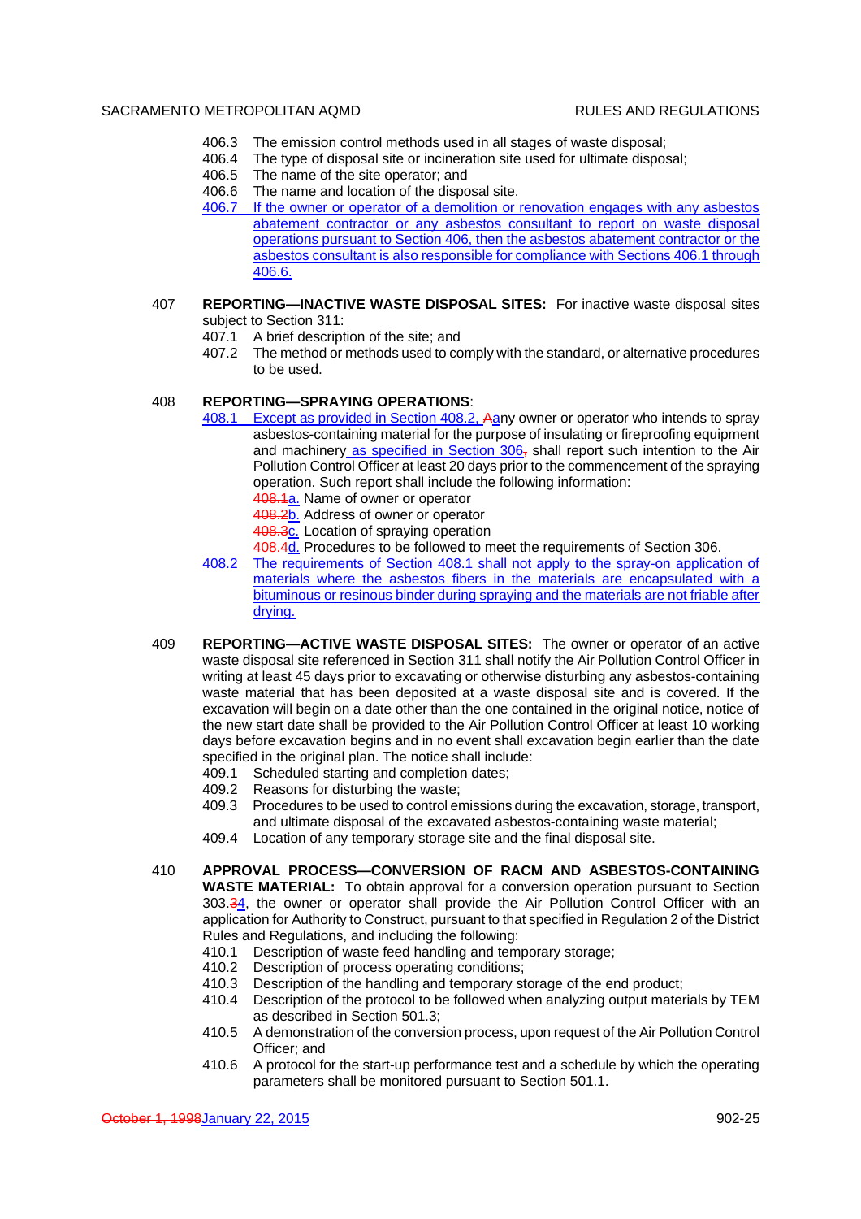- 406.3 The emission control methods used in all stages of waste disposal;
- 406.4 The type of disposal site or incineration site used for ultimate disposal;
- 406.5 The name of the site operator; and
- 406.6 The name and location of the disposal site.
- 406.7 If the owner or operator of a demolition or renovation engages with any asbestos abatement contractor or any asbestos consultant to report on waste disposal operations pursuant to Section 406, then the asbestos abatement contractor or the asbestos consultant is also responsible for compliance with Sections 406.1 through 406.6.
- 407 **REPORTING—INACTIVE WASTE DISPOSAL SITES:** For inactive waste disposal sites subject to Section 311:
	- 407.1 A brief description of the site; and
	- 407.2 The method or methods used to comply with the standard, or alternative procedures to be used.

### 408 **REPORTING—SPRAYING OPERATIONS**:

- 408.1 Except as provided in Section 408.2, Aany owner or operator who intends to spray asbestos-containing material for the purpose of insulating or fireproofing equipment and machinery as specified in Section 306, shall report such intention to the Air Pollution Control Officer at least 20 days prior to the commencement of the spraying operation. Such report shall include the following information:
	- 408.1a. Name of owner or operator
	- 408.2b. Address of owner or operator
	- 408.3c. Location of spraying operation
	- 408.4d. Procedures to be followed to meet the requirements of Section 306.
- 408.2 The requirements of Section 408.1 shall not apply to the spray-on application of materials where the asbestos fibers in the materials are encapsulated with a bituminous or resinous binder during spraying and the materials are not friable after drying.
- 409 **REPORTING—ACTIVE WASTE DISPOSAL SITES:** The owner or operator of an active waste disposal site referenced in Section 311 shall notify the Air Pollution Control Officer in writing at least 45 days prior to excavating or otherwise disturbing any asbestos-containing waste material that has been deposited at a waste disposal site and is covered. If the excavation will begin on a date other than the one contained in the original notice, notice of the new start date shall be provided to the Air Pollution Control Officer at least 10 working days before excavation begins and in no event shall excavation begin earlier than the date specified in the original plan. The notice shall include:
	- 409.1 Scheduled starting and completion dates;
	- 409.2 Reasons for disturbing the waste;
	- 409.3 Procedures to be used to control emissions during the excavation, storage, transport, and ultimate disposal of the excavated asbestos-containing waste material;
	- 409.4 Location of any temporary storage site and the final disposal site.
- 410 **APPROVAL PROCESS—CONVERSION OF RACM AND ASBESTOS-CONTAINING WASTE MATERIAL:** To obtain approval for a conversion operation pursuant to Section 303.34, the owner or operator shall provide the Air Pollution Control Officer with an application for Authority to Construct, pursuant to that specified in Regulation 2 of the District Rules and Regulations, and including the following:
	- 410.1 Description of waste feed handling and temporary storage;
	- 410.2 Description of process operating conditions;
	- 410.3 Description of the handling and temporary storage of the end product;
	- 410.4 Description of the protocol to be followed when analyzing output materials by TEM as described in Section 501.3;
	- 410.5 A demonstration of the conversion process, upon request of the Air Pollution Control Officer; and
	- 410.6 A protocol for the start-up performance test and a schedule by which the operating parameters shall be monitored pursuant to Section 501.1.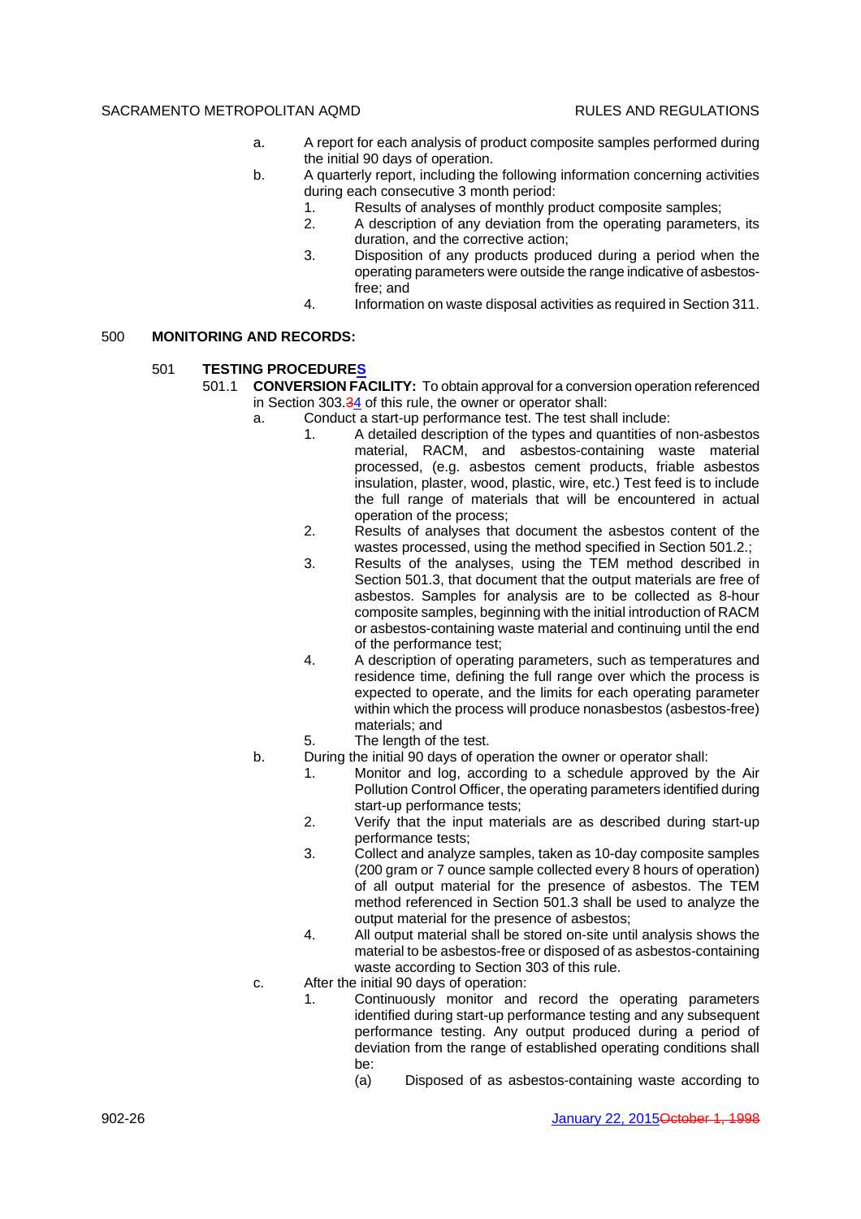- a. A report for each analysis of product composite samples performed during the initial 90 days of operation.
- b. A quarterly report, including the following information concerning activities during each consecutive 3 month period:
	- 1. Results of analyses of monthly product composite samples;
	- 2. A description of any deviation from the operating parameters, its duration, and the corrective action;
	- 3. Disposition of any products produced during a period when the operating parameters were outside the range indicative of asbestosfree; and
	- 4. Information on waste disposal activities as required in Section 311.

#### 500 **MONITORING AND RECORDS:**

- 501 **TESTING PROCEDURES**
	- 501.1 **CONVERSION FACILITY:** To obtain approval for a conversion operation referenced in Section 303.34 of this rule, the owner or operator shall:
		- a. Conduct a start-up performance test. The test shall include:
			- 1. A detailed description of the types and quantities of non-asbestos material, RACM, and asbestos-containing waste material processed, (e.g. asbestos cement products, friable asbestos insulation, plaster, wood, plastic, wire, etc.) Test feed is to include the full range of materials that will be encountered in actual operation of the process;
			- 2. Results of analyses that document the asbestos content of the wastes processed, using the method specified in Section 501.2.;
			- 3. Results of the analyses, using the TEM method described in Section 501.3, that document that the output materials are free of asbestos. Samples for analysis are to be collected as 8-hour composite samples, beginning with the initial introduction of RACM or asbestos-containing waste material and continuing until the end of the performance test;
			- 4. A description of operating parameters, such as temperatures and residence time, defining the full range over which the process is expected to operate, and the limits for each operating parameter within which the process will produce nonasbestos (asbestos-free) materials; and
			- 5. The length of the test.
			- b. During the initial 90 days of operation the owner or operator shall:
				- 1. Monitor and log, according to a schedule approved by the Air Pollution Control Officer, the operating parameters identified during start-up performance tests;
				- 2. Verify that the input materials are as described during start-up performance tests;
				- 3. Collect and analyze samples, taken as 10-day composite samples (200 gram or 7 ounce sample collected every 8 hours of operation) of all output material for the presence of asbestos. The TEM method referenced in Section 501.3 shall be used to analyze the output material for the presence of asbestos;
				- 4. All output material shall be stored on-site until analysis shows the material to be asbestos-free or disposed of as asbestos-containing waste according to Section 303 of this rule.
		- c. After the initial 90 days of operation:
			- 1. Continuously monitor and record the operating parameters identified during start-up performance testing and any subsequent performance testing. Any output produced during a period of deviation from the range of established operating conditions shall be:
				- (a) Disposed of as asbestos-containing waste according to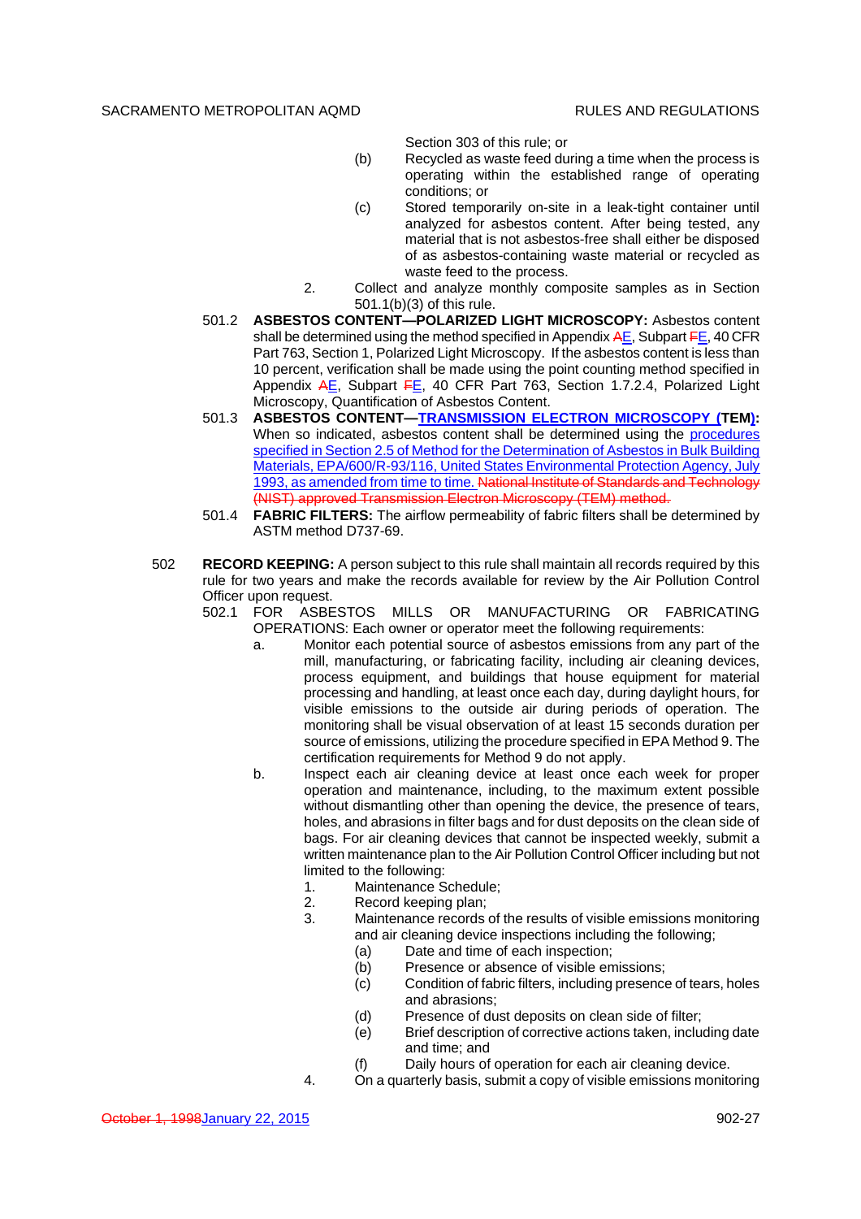Section 303 of this rule; or

- (b) Recycled as waste feed during a time when the process is operating within the established range of operating conditions; or
- (c) Stored temporarily on-site in a leak-tight container until analyzed for asbestos content. After being tested, any material that is not asbestos-free shall either be disposed of as asbestos-containing waste material or recycled as waste feed to the process.
- 2. Collect and analyze monthly composite samples as in Section 501.1(b)(3) of this rule.
- 501.2 **ASBESTOS CONTENT—POLARIZED LIGHT MICROSCOPY:** Asbestos content shall be determined using the method specified in Appendix  $AE$ , Subpart  $FE$ , 40 CFR Part 763, Section 1, Polarized Light Microscopy. If the asbestos content is less than 10 percent, verification shall be made using the point counting method specified in Appendix AE, Subpart FE, 40 CFR Part 763, Section 1.7.2.4, Polarized Light Microscopy, Quantification of Asbestos Content.
- 501.3 **ASBESTOS CONTENT—TRANSMISSION ELECTRON MICROSCOPY (TEM):** When so indicated, asbestos content shall be determined using the procedures specified in Section 2.5 of Method for the Determination of Asbestos in Bulk Building Materials, EPA/600/R-93/116, United States Environmental Protection Agency, July 1993, as amended from time to time. National Institute of Standards and Technology (NIST) approved Transmission Electron Microscopy (TEM) method.
- 501.4 **FABRIC FILTERS:** The airflow permeability of fabric filters shall be determined by ASTM method D737-69.
- 502 **RECORD KEEPING:** A person subject to this rule shall maintain all records required by this rule for two years and make the records available for review by the Air Pollution Control Officer upon request.

502.1 FOR ASBESTOS MILLS OR MANUFACTURING OR FABRICATING OPERATIONS: Each owner or operator meet the following requirements:

- a. Monitor each potential source of asbestos emissions from any part of the mill, manufacturing, or fabricating facility, including air cleaning devices, process equipment, and buildings that house equipment for material processing and handling, at least once each day, during daylight hours, for visible emissions to the outside air during periods of operation. The monitoring shall be visual observation of at least 15 seconds duration per source of emissions, utilizing the procedure specified in EPA Method 9. The certification requirements for Method 9 do not apply.
- b. Inspect each air cleaning device at least once each week for proper operation and maintenance, including, to the maximum extent possible without dismantling other than opening the device, the presence of tears, holes, and abrasions in filter bags and for dust deposits on the clean side of bags. For air cleaning devices that cannot be inspected weekly, submit a written maintenance plan to the Air Pollution Control Officer including but not limited to the following:
	- 1. Maintenance Schedule;
	- 2. Record keeping plan;
	- 3. Maintenance records of the results of visible emissions monitoring and air cleaning device inspections including the following;
		- (a) Date and time of each inspection;
		- (b) Presence or absence of visible emissions;
		- (c) Condition of fabric filters, including presence of tears, holes and abrasions;
		- (d) Presence of dust deposits on clean side of filter;
		- (e) Brief description of corrective actions taken, including date and time; and
		- (f) Daily hours of operation for each air cleaning device.
	- 4. On a quarterly basis, submit a copy of visible emissions monitoring